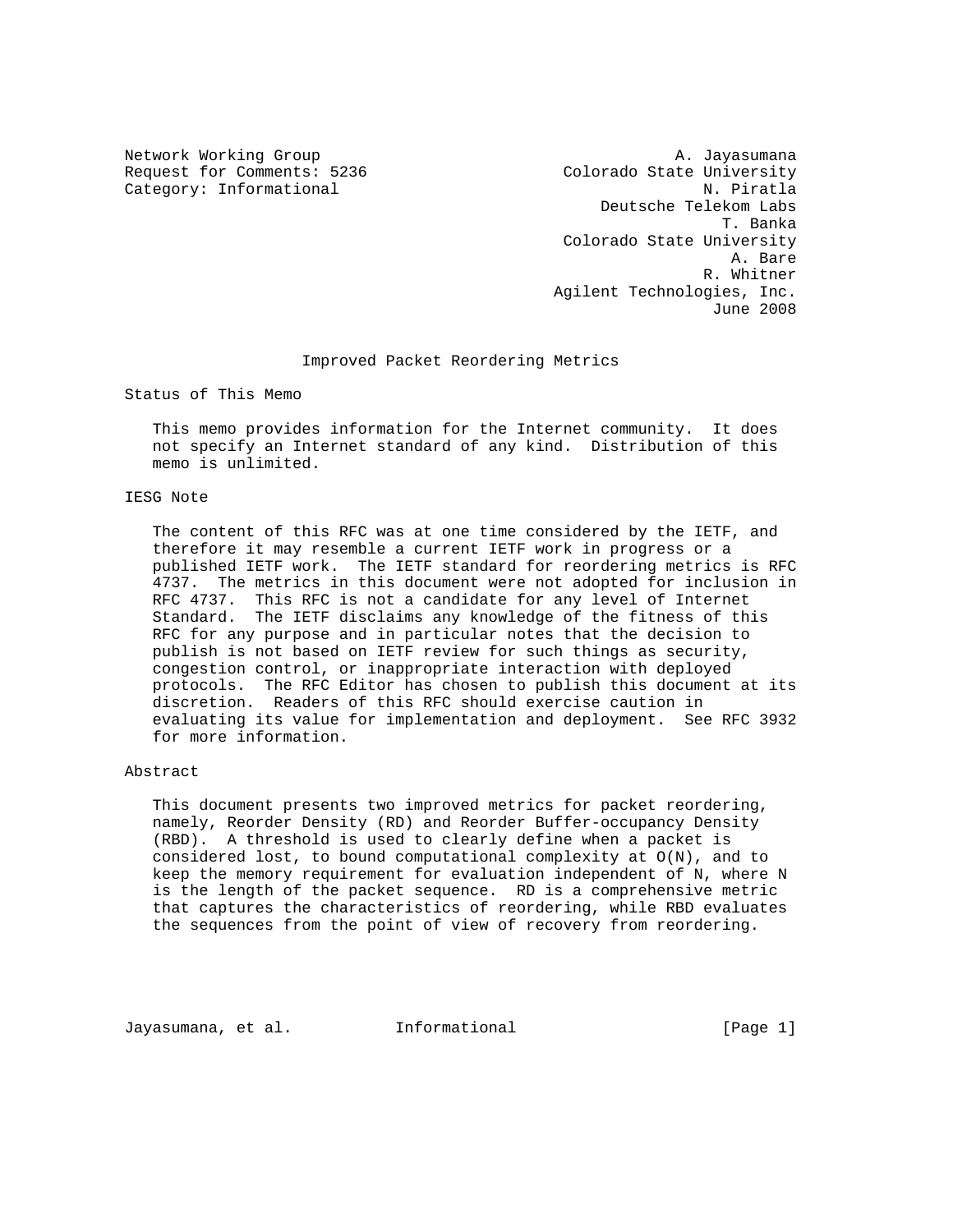Network Working Group and A. Jayasumana Request for Comments: 5236 Colorado State University Category: Informational N. Piratla Deutsche Telekom Labs T. Banka Colorado State University A. Bare R. Whitner Agilent Technologies, Inc. June 2008

#### Improved Packet Reordering Metrics

Status of This Memo

 This memo provides information for the Internet community. It does not specify an Internet standard of any kind. Distribution of this memo is unlimited.

### IESG Note

 The content of this RFC was at one time considered by the IETF, and therefore it may resemble a current IETF work in progress or a published IETF work. The IETF standard for reordering metrics is RFC 4737. The metrics in this document were not adopted for inclusion in RFC 4737. This RFC is not a candidate for any level of Internet Standard. The IETF disclaims any knowledge of the fitness of this RFC for any purpose and in particular notes that the decision to publish is not based on IETF review for such things as security, congestion control, or inappropriate interaction with deployed protocols. The RFC Editor has chosen to publish this document at its discretion. Readers of this RFC should exercise caution in evaluating its value for implementation and deployment. See RFC 3932 for more information.

#### Abstract

 This document presents two improved metrics for packet reordering, namely, Reorder Density (RD) and Reorder Buffer-occupancy Density (RBD). A threshold is used to clearly define when a packet is considered lost, to bound computational complexity at O(N), and to keep the memory requirement for evaluation independent of N, where N is the length of the packet sequence. RD is a comprehensive metric that captures the characteristics of reordering, while RBD evaluates the sequences from the point of view of recovery from reordering.

Jayasumana, et al. Informational [Page 1]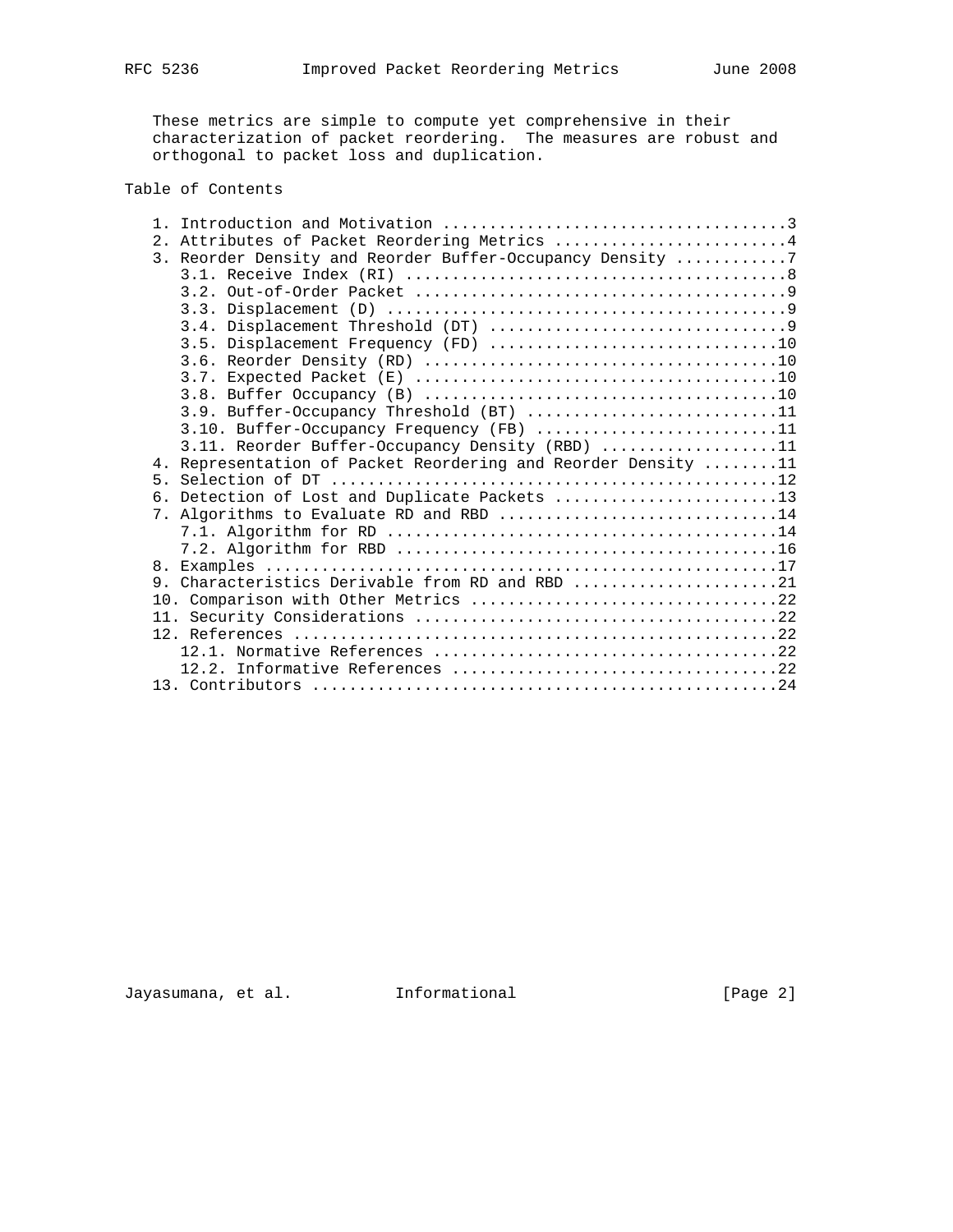These metrics are simple to compute yet comprehensive in their characterization of packet reordering. The measures are robust and orthogonal to packet loss and duplication.

# Table of Contents

|  | 2. Attributes of Packet Reordering Metrics 4                  |
|--|---------------------------------------------------------------|
|  | 3. Reorder Density and Reorder Buffer-Occupancy Density 7     |
|  |                                                               |
|  |                                                               |
|  |                                                               |
|  |                                                               |
|  | 3.5. Displacement Frequency (FD) 10                           |
|  |                                                               |
|  |                                                               |
|  |                                                               |
|  | 3.9. Buffer-Occupancy Threshold (BT) 11                       |
|  | 3.10. Buffer-Occupancy Frequency (FB) 11                      |
|  | 3.11. Reorder Buffer-Occupancy Density (RBD) 11               |
|  | 4. Representation of Packet Reordering and Reorder Density 11 |
|  |                                                               |
|  | 6. Detection of Lost and Duplicate Packets 13                 |
|  | 7. Algorithms to Evaluate RD and RBD 14                       |
|  |                                                               |
|  |                                                               |
|  |                                                               |
|  | 9. Characteristics Derivable from RD and RBD 21               |
|  |                                                               |
|  |                                                               |
|  |                                                               |
|  |                                                               |
|  |                                                               |
|  |                                                               |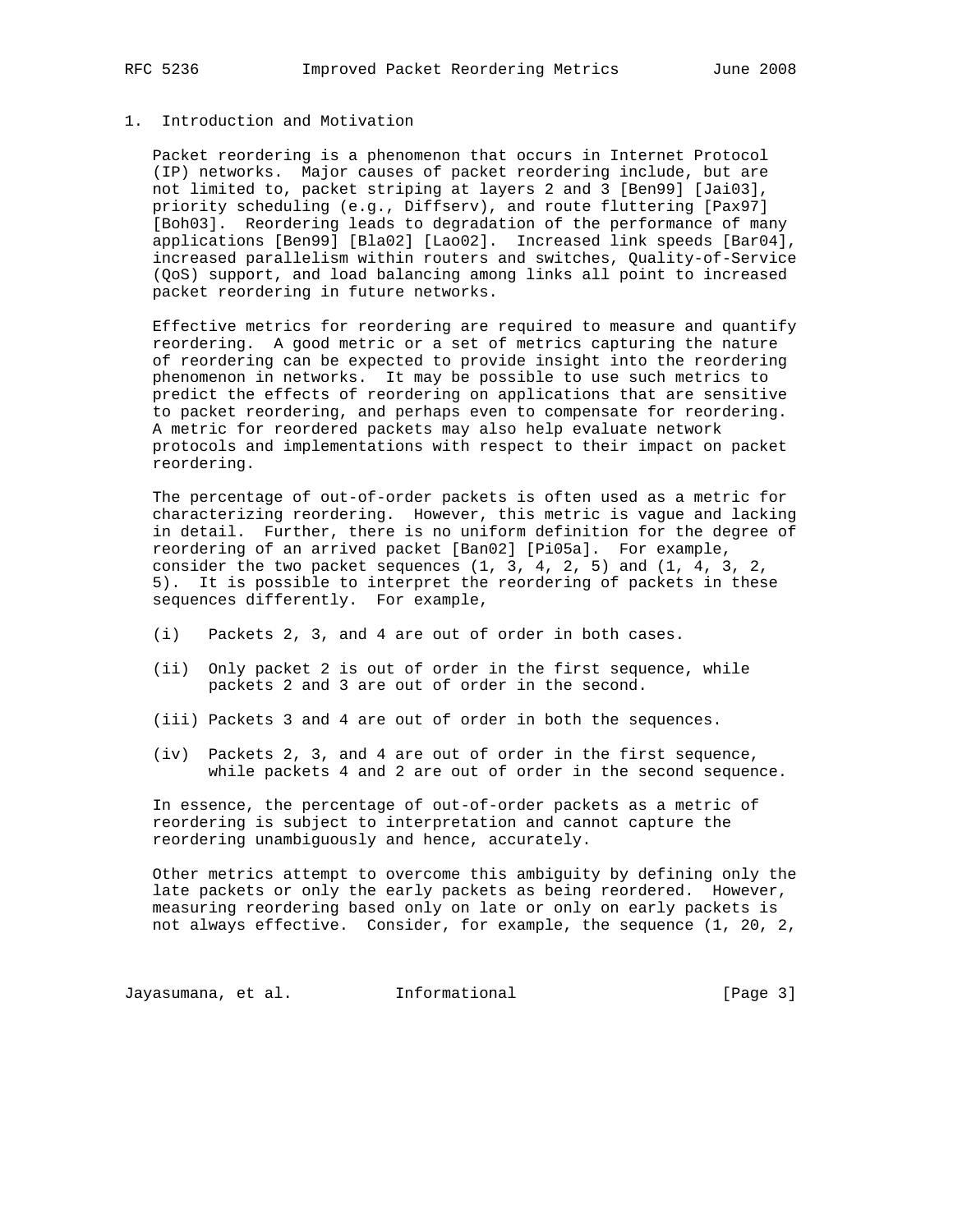# 1. Introduction and Motivation

 Packet reordering is a phenomenon that occurs in Internet Protocol (IP) networks. Major causes of packet reordering include, but are not limited to, packet striping at layers 2 and 3 [Ben99] [Jai03], priority scheduling (e.g., Diffserv), and route fluttering [Pax97] [Boh03]. Reordering leads to degradation of the performance of many applications [Ben99] [Bla02] [Lao02]. Increased link speeds [Bar04], increased parallelism within routers and switches, Quality-of-Service (QoS) support, and load balancing among links all point to increased packet reordering in future networks.

 Effective metrics for reordering are required to measure and quantify reordering. A good metric or a set of metrics capturing the nature of reordering can be expected to provide insight into the reordering phenomenon in networks. It may be possible to use such metrics to predict the effects of reordering on applications that are sensitive to packet reordering, and perhaps even to compensate for reordering. A metric for reordered packets may also help evaluate network protocols and implementations with respect to their impact on packet reordering.

 The percentage of out-of-order packets is often used as a metric for characterizing reordering. However, this metric is vague and lacking in detail. Further, there is no uniform definition for the degree of reordering of an arrived packet [Ban02] [Pi05a]. For example, consider the two packet sequences (1, 3, 4, 2, 5) and (1, 4, 3, 2, 5). It is possible to interpret the reordering of packets in these sequences differently. For example,

- (i) Packets 2, 3, and 4 are out of order in both cases.
- (ii) Only packet 2 is out of order in the first sequence, while packets 2 and 3 are out of order in the second.
- (iii) Packets 3 and 4 are out of order in both the sequences.
- (iv) Packets 2, 3, and 4 are out of order in the first sequence, while packets 4 and 2 are out of order in the second sequence.

 In essence, the percentage of out-of-order packets as a metric of reordering is subject to interpretation and cannot capture the reordering unambiguously and hence, accurately.

 Other metrics attempt to overcome this ambiguity by defining only the late packets or only the early packets as being reordered. However, measuring reordering based only on late or only on early packets is not always effective. Consider, for example, the sequence (1, 20, 2,

Jayasumana, et al. 1nformational 1977 [Page 3]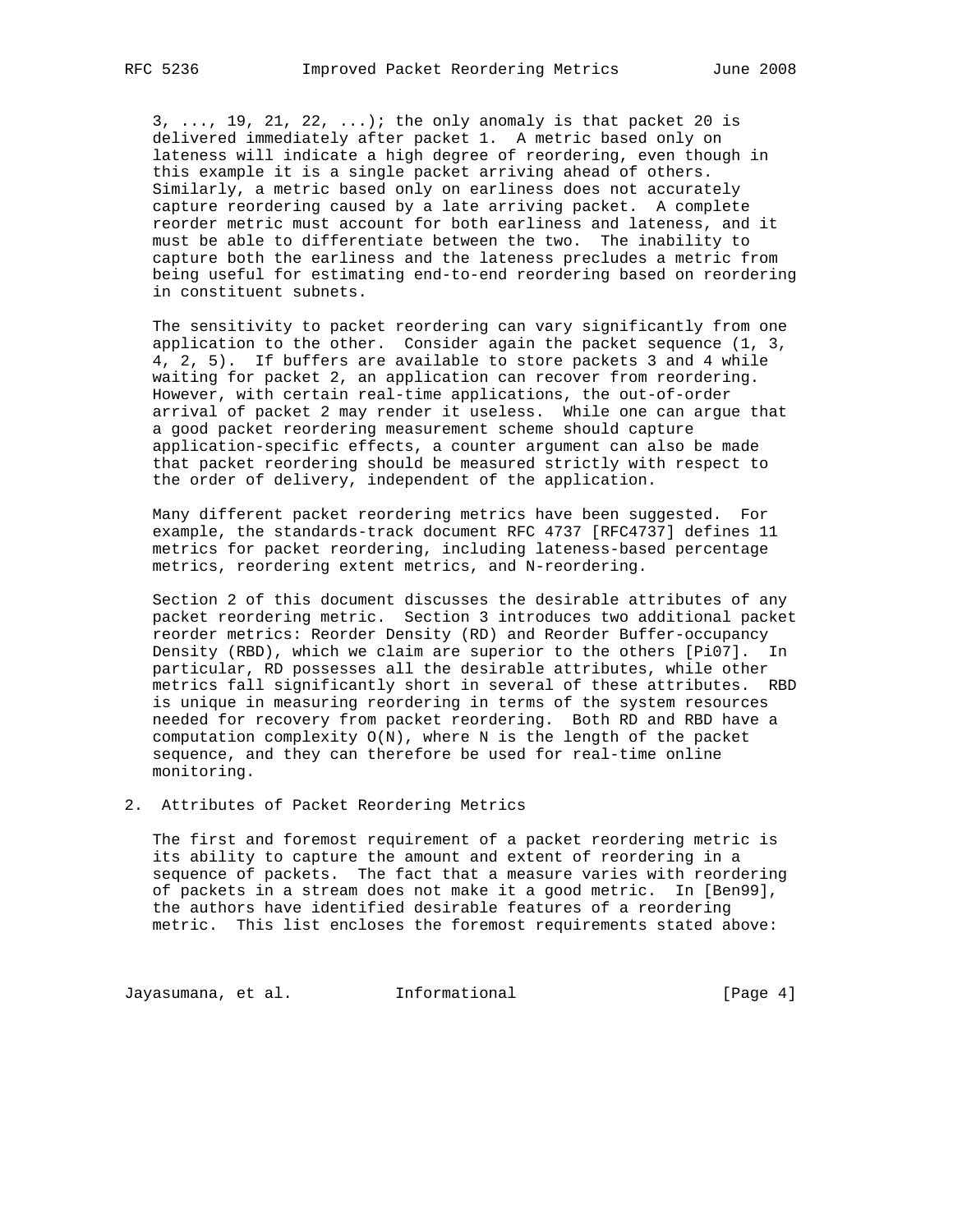$3, \ldots$ , 19, 21, 22,  $\ldots$ ); the only anomaly is that packet 20 is delivered immediately after packet 1. A metric based only on lateness will indicate a high degree of reordering, even though in this example it is a single packet arriving ahead of others. Similarly, a metric based only on earliness does not accurately capture reordering caused by a late arriving packet. A complete reorder metric must account for both earliness and lateness, and it must be able to differentiate between the two. The inability to capture both the earliness and the lateness precludes a metric from being useful for estimating end-to-end reordering based on reordering in constituent subnets.

 The sensitivity to packet reordering can vary significantly from one application to the other. Consider again the packet sequence  $(1, 3, 4)$  4, 2, 5). If buffers are available to store packets 3 and 4 while waiting for packet 2, an application can recover from reordering. However, with certain real-time applications, the out-of-order arrival of packet 2 may render it useless. While one can argue that a good packet reordering measurement scheme should capture application-specific effects, a counter argument can also be made that packet reordering should be measured strictly with respect to the order of delivery, independent of the application.

 Many different packet reordering metrics have been suggested. For example, the standards-track document RFC 4737 [RFC4737] defines 11 metrics for packet reordering, including lateness-based percentage metrics, reordering extent metrics, and N-reordering.

 Section 2 of this document discusses the desirable attributes of any packet reordering metric. Section 3 introduces two additional packet reorder metrics: Reorder Density (RD) and Reorder Buffer-occupancy Density (RBD), which we claim are superior to the others [Pi07]. In particular, RD possesses all the desirable attributes, while other metrics fall significantly short in several of these attributes. RBD is unique in measuring reordering in terms of the system resources needed for recovery from packet reordering. Both RD and RBD have a computation complexity O(N), where N is the length of the packet sequence, and they can therefore be used for real-time online monitoring.

2. Attributes of Packet Reordering Metrics

 The first and foremost requirement of a packet reordering metric is its ability to capture the amount and extent of reordering in a sequence of packets. The fact that a measure varies with reordering of packets in a stream does not make it a good metric. In [Ben99], the authors have identified desirable features of a reordering metric. This list encloses the foremost requirements stated above:

Jayasumana, et al. 1nformational 1977 [Page 4]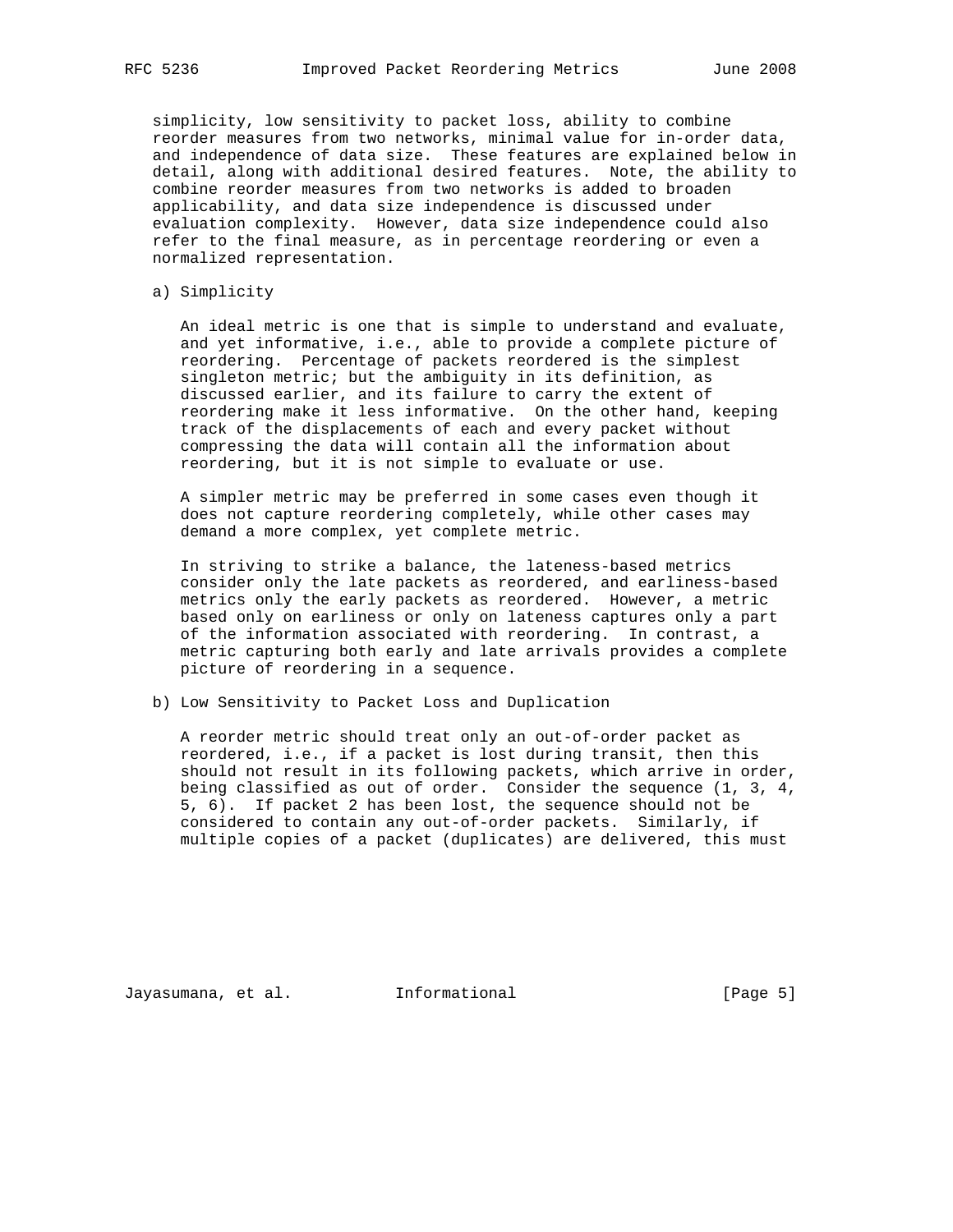simplicity, low sensitivity to packet loss, ability to combine reorder measures from two networks, minimal value for in-order data, and independence of data size. These features are explained below in detail, along with additional desired features. Note, the ability to combine reorder measures from two networks is added to broaden applicability, and data size independence is discussed under evaluation complexity. However, data size independence could also refer to the final measure, as in percentage reordering or even a normalized representation.

a) Simplicity

 An ideal metric is one that is simple to understand and evaluate, and yet informative, i.e., able to provide a complete picture of reordering. Percentage of packets reordered is the simplest singleton metric; but the ambiguity in its definition, as discussed earlier, and its failure to carry the extent of reordering make it less informative. On the other hand, keeping track of the displacements of each and every packet without compressing the data will contain all the information about reordering, but it is not simple to evaluate or use.

 A simpler metric may be preferred in some cases even though it does not capture reordering completely, while other cases may demand a more complex, yet complete metric.

 In striving to strike a balance, the lateness-based metrics consider only the late packets as reordered, and earliness-based metrics only the early packets as reordered. However, a metric based only on earliness or only on lateness captures only a part of the information associated with reordering. In contrast, a metric capturing both early and late arrivals provides a complete picture of reordering in a sequence.

b) Low Sensitivity to Packet Loss and Duplication

 A reorder metric should treat only an out-of-order packet as reordered, i.e., if a packet is lost during transit, then this should not result in its following packets, which arrive in order, being classified as out of order. Consider the sequence (1, 3, 4, 5, 6). If packet 2 has been lost, the sequence should not be considered to contain any out-of-order packets. Similarly, if multiple copies of a packet (duplicates) are delivered, this must

Jayasumana, et al. Informational [Page 5]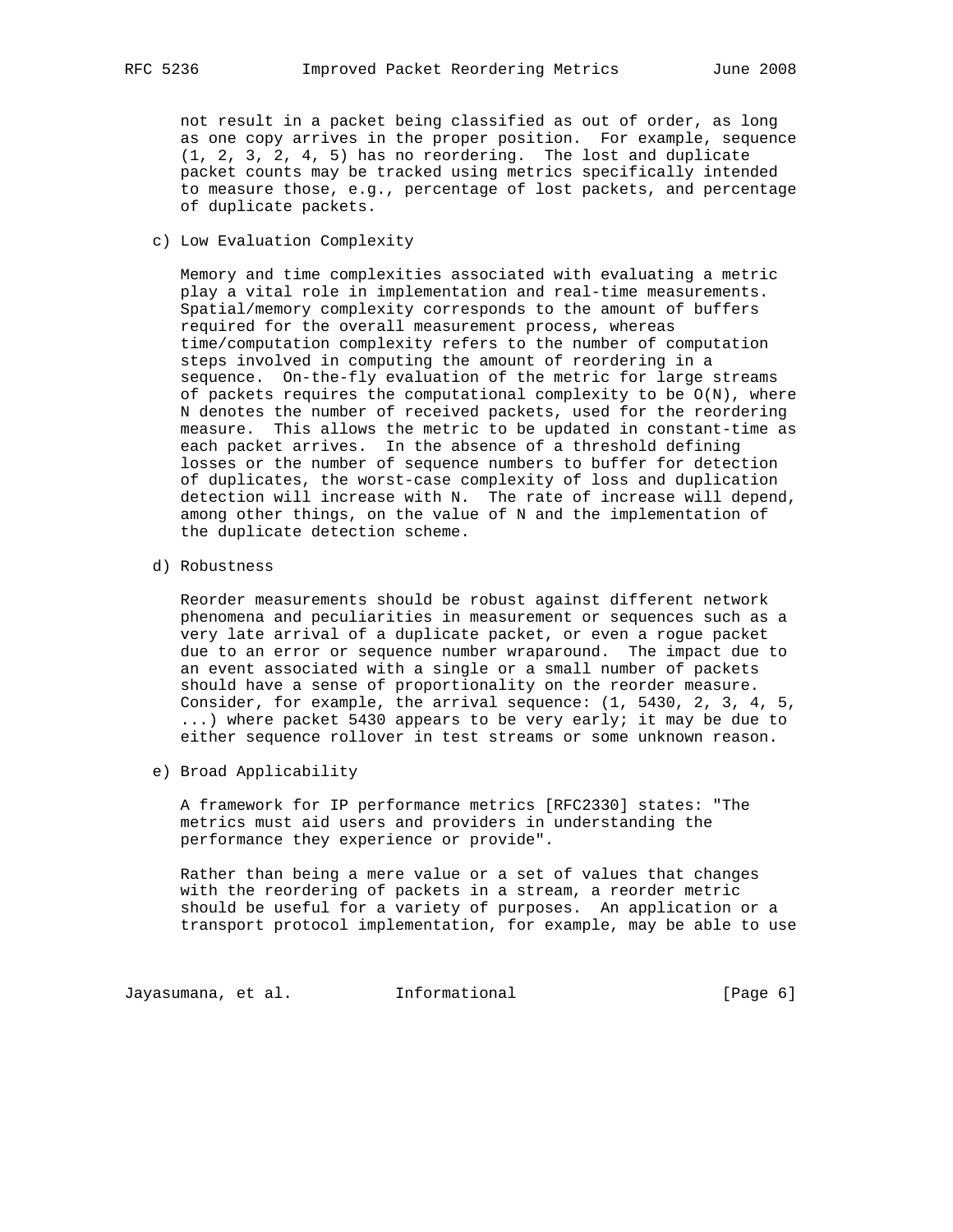not result in a packet being classified as out of order, as long as one copy arrives in the proper position. For example, sequence (1, 2, 3, 2, 4, 5) has no reordering. The lost and duplicate packet counts may be tracked using metrics specifically intended to measure those, e.g., percentage of lost packets, and percentage of duplicate packets.

c) Low Evaluation Complexity

 Memory and time complexities associated with evaluating a metric play a vital role in implementation and real-time measurements. Spatial/memory complexity corresponds to the amount of buffers required for the overall measurement process, whereas time/computation complexity refers to the number of computation steps involved in computing the amount of reordering in a sequence. On-the-fly evaluation of the metric for large streams of packets requires the computational complexity to be  $O(N)$ , where N denotes the number of received packets, used for the reordering measure. This allows the metric to be updated in constant-time as each packet arrives. In the absence of a threshold defining losses or the number of sequence numbers to buffer for detection of duplicates, the worst-case complexity of loss and duplication detection will increase with N. The rate of increase will depend, among other things, on the value of N and the implementation of the duplicate detection scheme.

d) Robustness

 Reorder measurements should be robust against different network phenomena and peculiarities in measurement or sequences such as a very late arrival of a duplicate packet, or even a rogue packet due to an error or sequence number wraparound. The impact due to an event associated with a single or a small number of packets should have a sense of proportionality on the reorder measure. Consider, for example, the arrival sequence: (1, 5430, 2, 3, 4, 5, ...) where packet 5430 appears to be very early; it may be due to either sequence rollover in test streams or some unknown reason.

e) Broad Applicability

 A framework for IP performance metrics [RFC2330] states: "The metrics must aid users and providers in understanding the performance they experience or provide".

 Rather than being a mere value or a set of values that changes with the reordering of packets in a stream, a reorder metric should be useful for a variety of purposes. An application or a transport protocol implementation, for example, may be able to use

Jayasumana, et al. 1nformational 1999 [Page 6]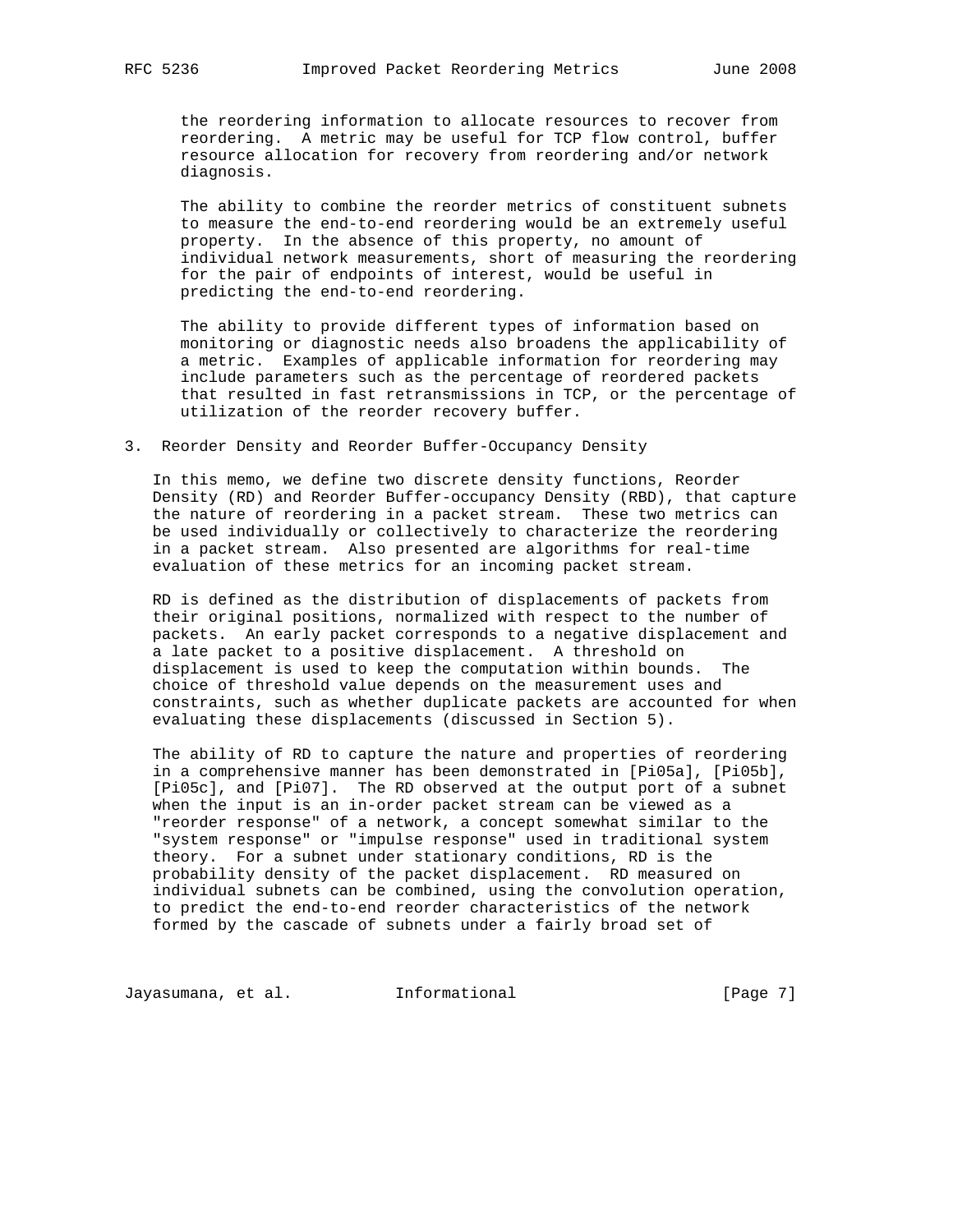the reordering information to allocate resources to recover from reordering. A metric may be useful for TCP flow control, buffer resource allocation for recovery from reordering and/or network diagnosis.

 The ability to combine the reorder metrics of constituent subnets to measure the end-to-end reordering would be an extremely useful property. In the absence of this property, no amount of individual network measurements, short of measuring the reordering for the pair of endpoints of interest, would be useful in predicting the end-to-end reordering.

 The ability to provide different types of information based on monitoring or diagnostic needs also broadens the applicability of a metric. Examples of applicable information for reordering may include parameters such as the percentage of reordered packets that resulted in fast retransmissions in TCP, or the percentage of utilization of the reorder recovery buffer.

3. Reorder Density and Reorder Buffer-Occupancy Density

 In this memo, we define two discrete density functions, Reorder Density (RD) and Reorder Buffer-occupancy Density (RBD), that capture the nature of reordering in a packet stream. These two metrics can be used individually or collectively to characterize the reordering in a packet stream. Also presented are algorithms for real-time evaluation of these metrics for an incoming packet stream.

 RD is defined as the distribution of displacements of packets from their original positions, normalized with respect to the number of packets. An early packet corresponds to a negative displacement and a late packet to a positive displacement. A threshold on displacement is used to keep the computation within bounds. The choice of threshold value depends on the measurement uses and constraints, such as whether duplicate packets are accounted for when evaluating these displacements (discussed in Section 5).

 The ability of RD to capture the nature and properties of reordering in a comprehensive manner has been demonstrated in [Pi05a], [Pi05b], [Pi05c], and [Pi07]. The RD observed at the output port of a subnet when the input is an in-order packet stream can be viewed as a "reorder response" of a network, a concept somewhat similar to the "system response" or "impulse response" used in traditional system theory. For a subnet under stationary conditions, RD is the probability density of the packet displacement. RD measured on individual subnets can be combined, using the convolution operation, to predict the end-to-end reorder characteristics of the network formed by the cascade of subnets under a fairly broad set of

Jayasumana, et al. 1nformational 1999 [Page 7]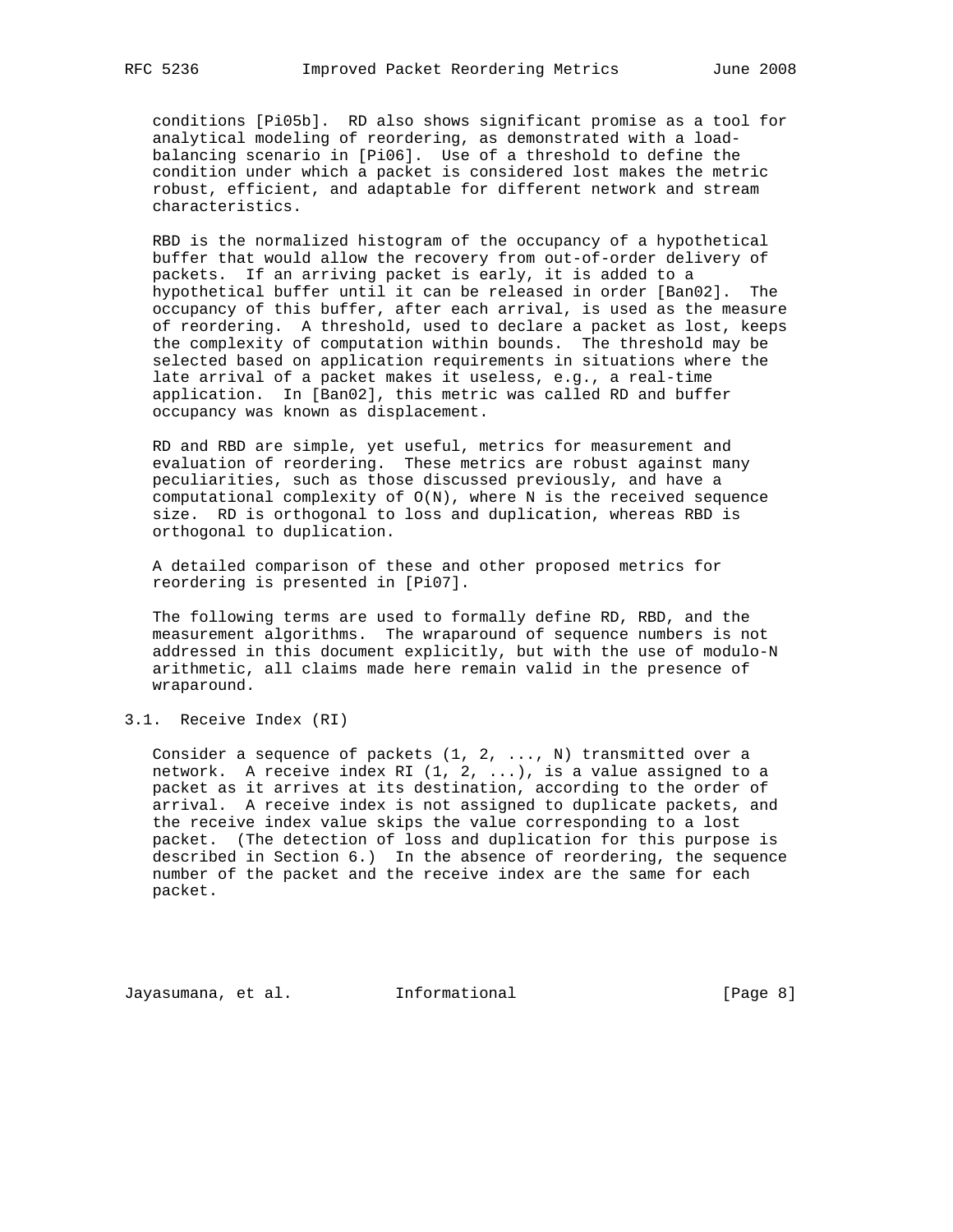conditions [Pi05b]. RD also shows significant promise as a tool for analytical modeling of reordering, as demonstrated with a load balancing scenario in [Pi06]. Use of a threshold to define the condition under which a packet is considered lost makes the metric robust, efficient, and adaptable for different network and stream characteristics.

 RBD is the normalized histogram of the occupancy of a hypothetical buffer that would allow the recovery from out-of-order delivery of packets. If an arriving packet is early, it is added to a hypothetical buffer until it can be released in order [Ban02]. The occupancy of this buffer, after each arrival, is used as the measure of reordering. A threshold, used to declare a packet as lost, keeps the complexity of computation within bounds. The threshold may be selected based on application requirements in situations where the late arrival of a packet makes it useless, e.g., a real-time application. In [Ban02], this metric was called RD and buffer occupancy was known as displacement.

 RD and RBD are simple, yet useful, metrics for measurement and evaluation of reordering. These metrics are robust against many peculiarities, such as those discussed previously, and have a computational complexity of  $O(N)$ , where N is the received sequence size. RD is orthogonal to loss and duplication, whereas RBD is orthogonal to duplication.

 A detailed comparison of these and other proposed metrics for reordering is presented in [Pi07].

 The following terms are used to formally define RD, RBD, and the measurement algorithms. The wraparound of sequence numbers is not addressed in this document explicitly, but with the use of modulo-N arithmetic, all claims made here remain valid in the presence of wraparound.

3.1. Receive Index (RI)

 Consider a sequence of packets (1, 2, ..., N) transmitted over a network. A receive index RI (1, 2, ...), is a value assigned to a packet as it arrives at its destination, according to the order of arrival. A receive index is not assigned to duplicate packets, and the receive index value skips the value corresponding to a lost packet. (The detection of loss and duplication for this purpose is described in Section 6.) In the absence of reordering, the sequence number of the packet and the receive index are the same for each packet.

Jayasumana, et al. Informational [Page 8]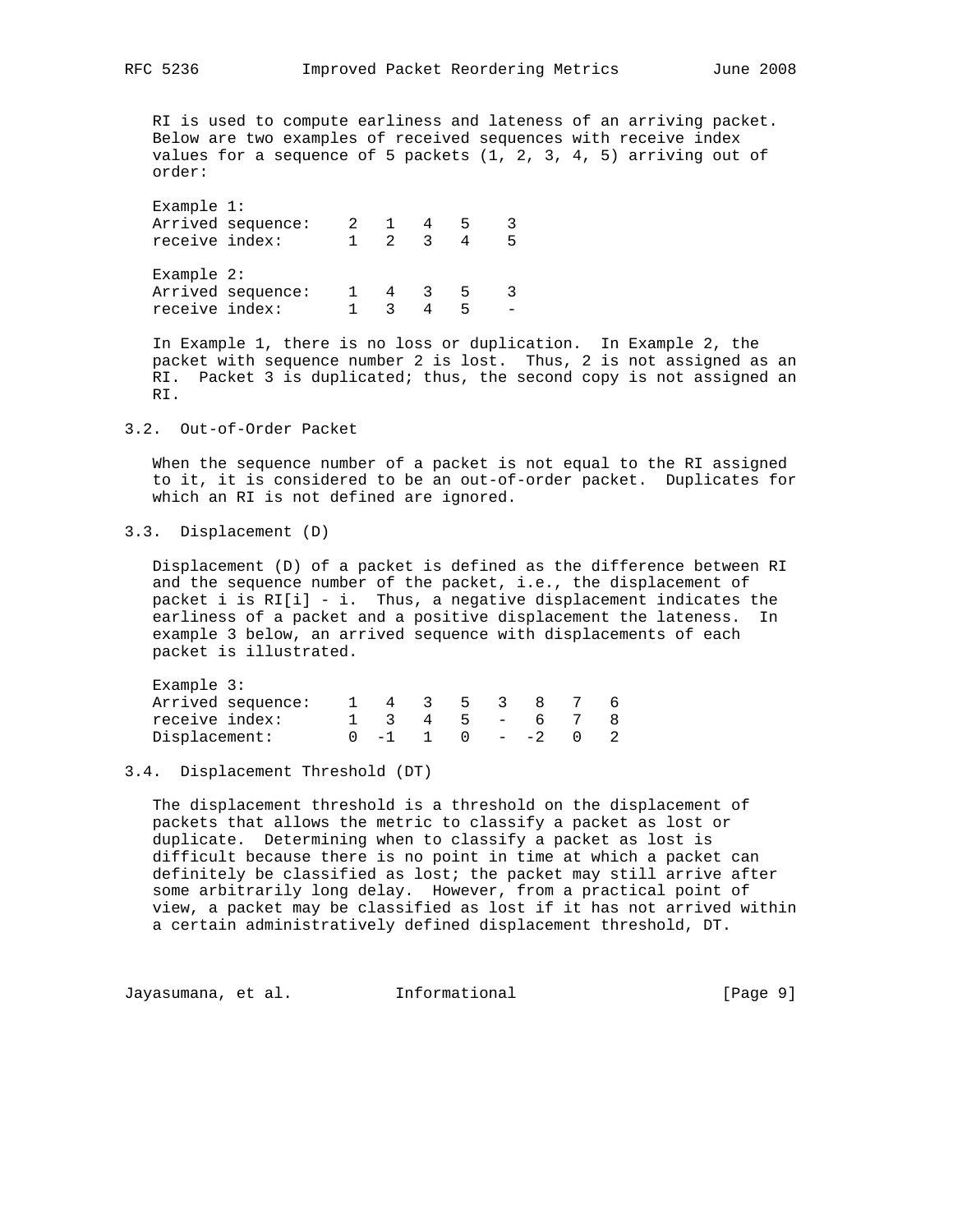RI is used to compute earliness and lateness of an arriving packet. Below are two examples of received sequences with receive index values for a sequence of 5 packets  $(1, 2, 3, 4, 5)$  arriving out of order:

 Example 1: Arrived sequence: 2 1 4 5 3 receive index: 1 2 3 4 5 Example 2: Arrived sequence: 1 4 3 5 3 receive index: 1 3 4 5 -

 In Example 1, there is no loss or duplication. In Example 2, the packet with sequence number 2 is lost. Thus, 2 is not assigned as an RI. Packet 3 is duplicated; thus, the second copy is not assigned an RI.

#### 3.2. Out-of-Order Packet

 When the sequence number of a packet is not equal to the RI assigned to it, it is considered to be an out-of-order packet. Duplicates for which an RI is not defined are ignored.

3.3. Displacement (D)

 Displacement (D) of a packet is defined as the difference between RI and the sequence number of the packet, i.e., the displacement of packet i is RI[i] - i. Thus, a negative displacement indicates the earliness of a packet and a positive displacement the lateness. In example 3 below, an arrived sequence with displacements of each packet is illustrated.

| Example 3:        |  |          |      |     |        |  |
|-------------------|--|----------|------|-----|--------|--|
| Arrived sequence: |  | $\sim$ 3 | $-5$ | - 3 |        |  |
| receive index:    |  |          | $-5$ |     | $-6$   |  |
| Displacement:     |  |          |      |     | $- -2$ |  |

### 3.4. Displacement Threshold (DT)

 The displacement threshold is a threshold on the displacement of packets that allows the metric to classify a packet as lost or duplicate. Determining when to classify a packet as lost is difficult because there is no point in time at which a packet can definitely be classified as lost; the packet may still arrive after some arbitrarily long delay. However, from a practical point of view, a packet may be classified as lost if it has not arrived within a certain administratively defined displacement threshold, DT.

Jayasumana, et al. Informational [Page 9]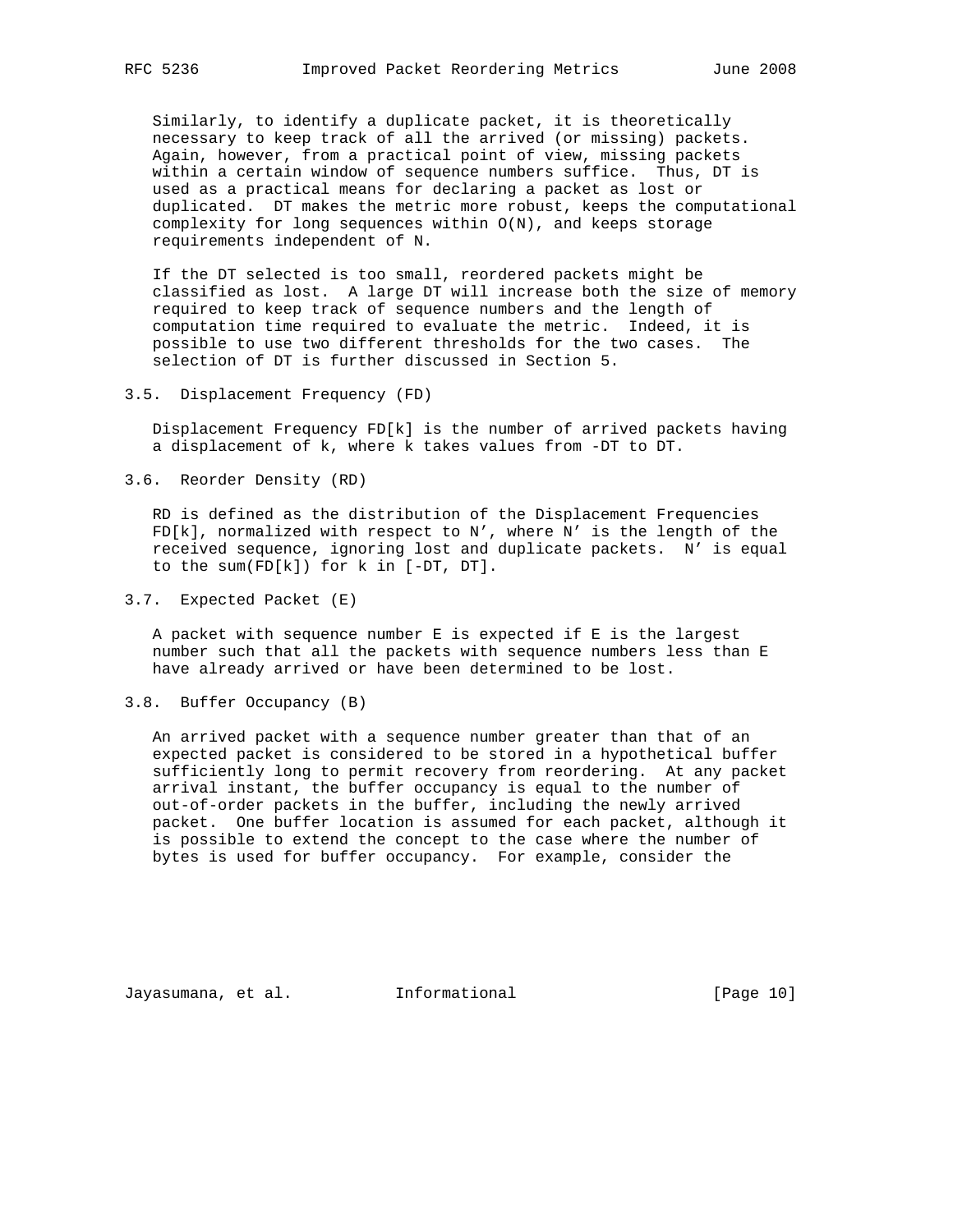Similarly, to identify a duplicate packet, it is theoretically necessary to keep track of all the arrived (or missing) packets. Again, however, from a practical point of view, missing packets within a certain window of sequence numbers suffice. Thus, DT is used as a practical means for declaring a packet as lost or duplicated. DT makes the metric more robust, keeps the computational complexity for long sequences within O(N), and keeps storage requirements independent of N.

 If the DT selected is too small, reordered packets might be classified as lost. A large DT will increase both the size of memory required to keep track of sequence numbers and the length of computation time required to evaluate the metric. Indeed, it is possible to use two different thresholds for the two cases. The selection of DT is further discussed in Section 5.

3.5. Displacement Frequency (FD)

 Displacement Frequency FD[k] is the number of arrived packets having a displacement of k, where k takes values from -DT to DT.

3.6. Reorder Density (RD)

 RD is defined as the distribution of the Displacement Frequencies FD[k], normalized with respect to N', where N' is the length of the received sequence, ignoring lost and duplicate packets. N' is equal to the sum(FD[k]) for k in [-DT, DT].

3.7. Expected Packet (E)

 A packet with sequence number E is expected if E is the largest number such that all the packets with sequence numbers less than E have already arrived or have been determined to be lost.

3.8. Buffer Occupancy (B)

 An arrived packet with a sequence number greater than that of an expected packet is considered to be stored in a hypothetical buffer sufficiently long to permit recovery from reordering. At any packet arrival instant, the buffer occupancy is equal to the number of out-of-order packets in the buffer, including the newly arrived packet. One buffer location is assumed for each packet, although it is possible to extend the concept to the case where the number of bytes is used for buffer occupancy. For example, consider the

Jayasumana, et al. Informational [Page 10]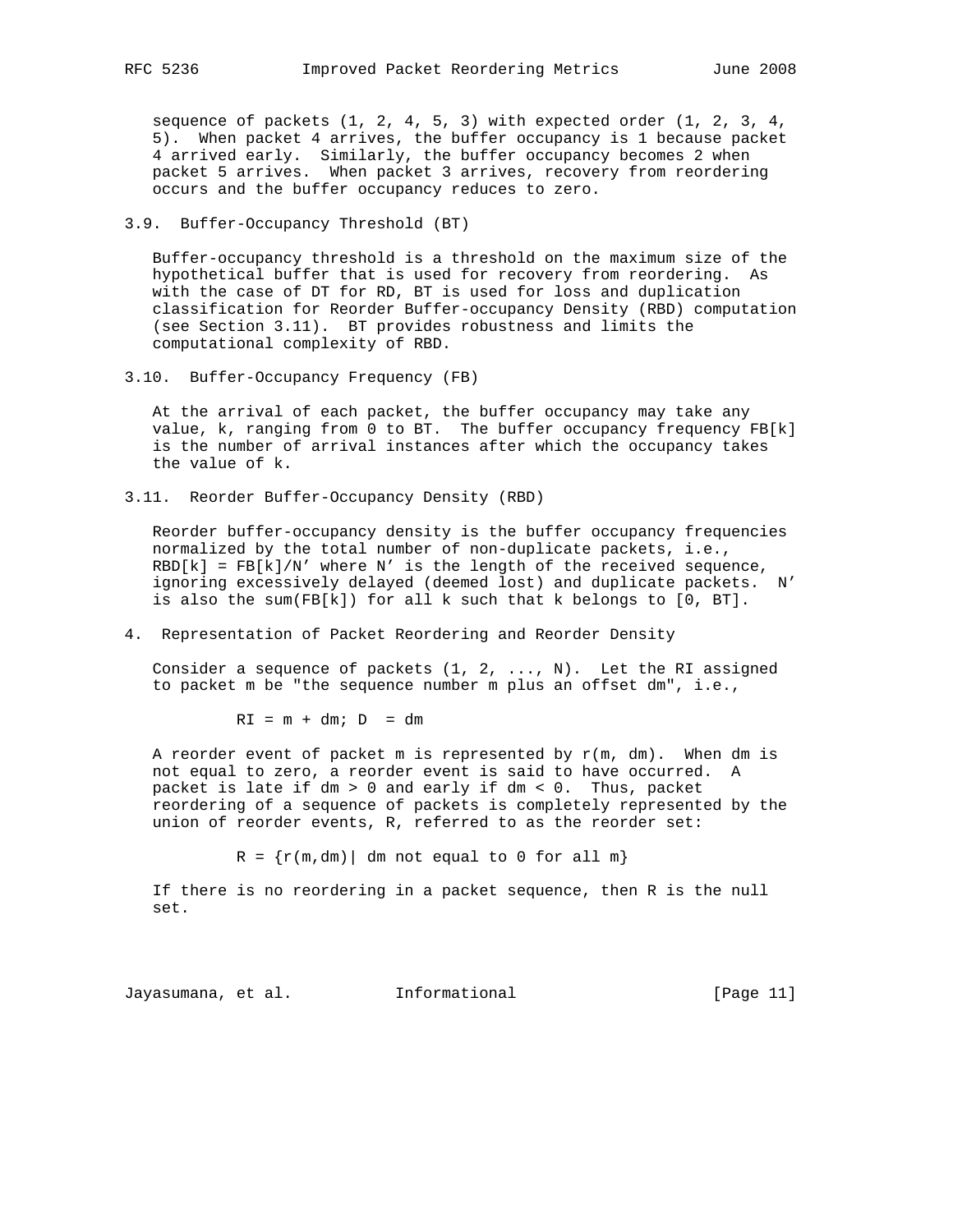sequence of packets (1, 2, 4, 5, 3) with expected order (1, 2, 3, 4, 5). When packet 4 arrives, the buffer occupancy is 1 because packet 4 arrived early. Similarly, the buffer occupancy becomes 2 when packet 5 arrives. When packet 3 arrives, recovery from reordering occurs and the buffer occupancy reduces to zero.

### 3.9. Buffer-Occupancy Threshold (BT)

 Buffer-occupancy threshold is a threshold on the maximum size of the hypothetical buffer that is used for recovery from reordering. As with the case of DT for RD, BT is used for loss and duplication classification for Reorder Buffer-occupancy Density (RBD) computation (see Section 3.11). BT provides robustness and limits the computational complexity of RBD.

3.10. Buffer-Occupancy Frequency (FB)

 At the arrival of each packet, the buffer occupancy may take any value, k, ranging from 0 to BT. The buffer occupancy frequency FB[k] is the number of arrival instances after which the occupancy takes the value of k.

3.11. Reorder Buffer-Occupancy Density (RBD)

 Reorder buffer-occupancy density is the buffer occupancy frequencies normalized by the total number of non-duplicate packets, i.e.,  $RBD[k] = FB[k]/N'$  where N' is the length of the received sequence, ignoring excessively delayed (deemed lost) and duplicate packets. N' is also the sum(FB $[k]$ ) for all k such that k belongs to  $[0, BT]$ .

4. Representation of Packet Reordering and Reorder Density

Consider a sequence of packets  $(1, 2, \ldots, N)$ . Let the RI assigned to packet m be "the sequence number m plus an offset dm", i.e.,

 $RI = m + dm$ ;  $D = dm$ 

A reorder event of packet m is represented by  $r(m, dm)$ . When dm is not equal to zero, a reorder event is said to have occurred. A packet is late if dm > 0 and early if dm < 0. Thus, packet reordering of a sequence of packets is completely represented by the union of reorder events, R, referred to as the reorder set:

 $R = {r(m,dm)}$  dm not equal to 0 for all m}

 If there is no reordering in a packet sequence, then R is the null set.

Jayasumana, et al. Informational [Page 11]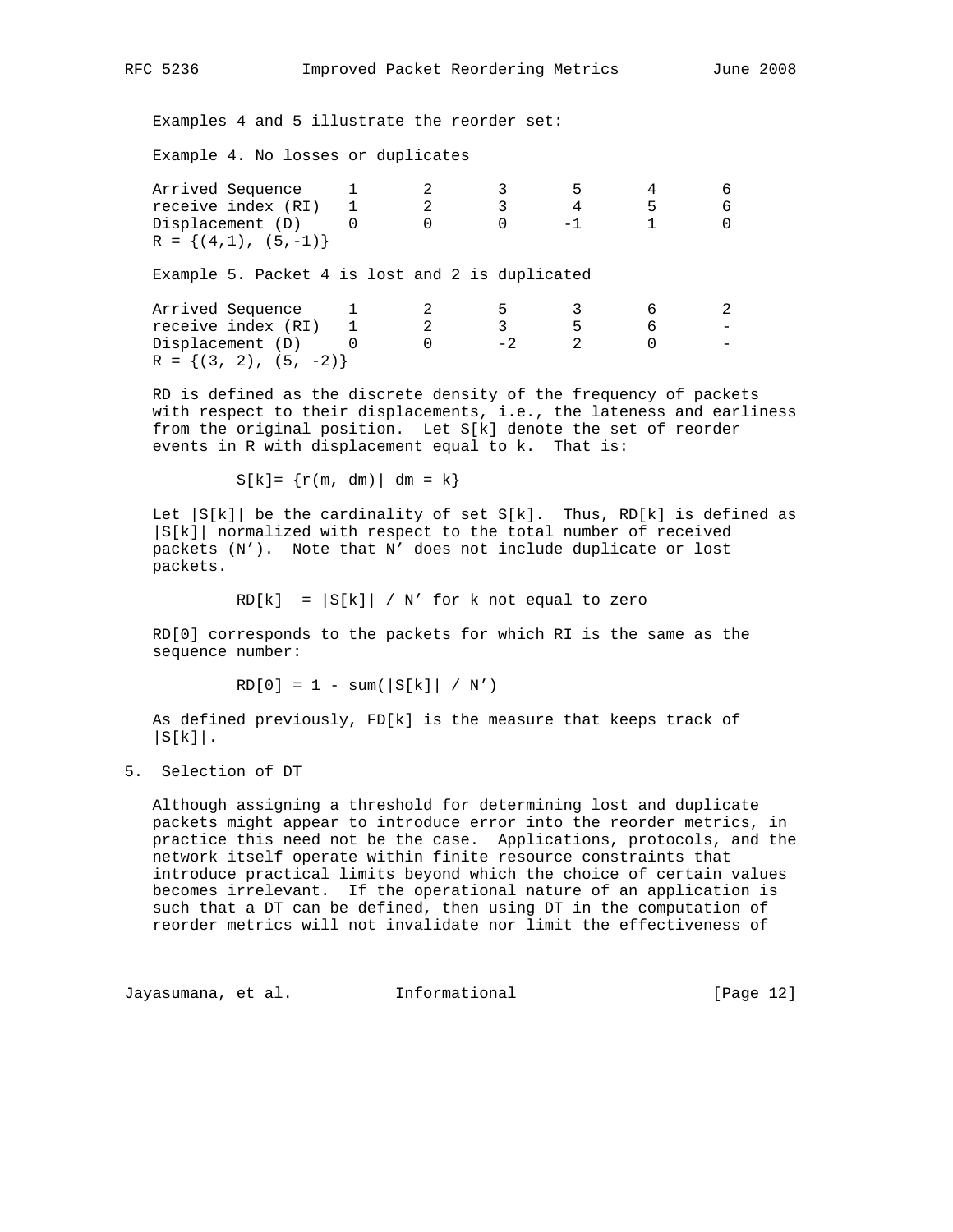Examples 4 and 5 illustrate the reorder set:

Example 4. No losses or duplicates

| Arrived Sequence         |  |  |  |
|--------------------------|--|--|--|
| receive index (RI)       |  |  |  |
| Displacement (D)         |  |  |  |
| $R = \{(4,1), (5,-1)\}\$ |  |  |  |

Example 5. Packet 4 is lost and 2 is duplicated

| Arrived Sequence           |  |  |  |
|----------------------------|--|--|--|
| receive index (RI)         |  |  |  |
| Displacement (D)           |  |  |  |
| $R = \{(3, 2), (5, -2)\}\$ |  |  |  |

 RD is defined as the discrete density of the frequency of packets with respect to their displacements, i.e., the lateness and earliness from the original position. Let S[k] denote the set of reorder events in R with displacement equal to k. That is:

 $S[k] = \{r(m, dm) | dm = k\}$ 

Let  $|S[k]|$  be the cardinality of set  $S[k]$ . Thus, RD[k] is defined as |S[k]| normalized with respect to the total number of received packets (N'). Note that N' does not include duplicate or lost packets.

 $RD[k] = |S[k]| / N'$  for k not equal to zero

 RD[0] corresponds to the packets for which RI is the same as the sequence number:

 $RD[0] = 1 - sum(|S[k]| / N')$ 

 As defined previously, FD[k] is the measure that keeps track of  $|S[k]|$ .

5. Selection of DT

 Although assigning a threshold for determining lost and duplicate packets might appear to introduce error into the reorder metrics, in practice this need not be the case. Applications, protocols, and the network itself operate within finite resource constraints that introduce practical limits beyond which the choice of certain values becomes irrelevant. If the operational nature of an application is such that a DT can be defined, then using DT in the computation of reorder metrics will not invalidate nor limit the effectiveness of

Jayasumana, et al. Informational [Page 12]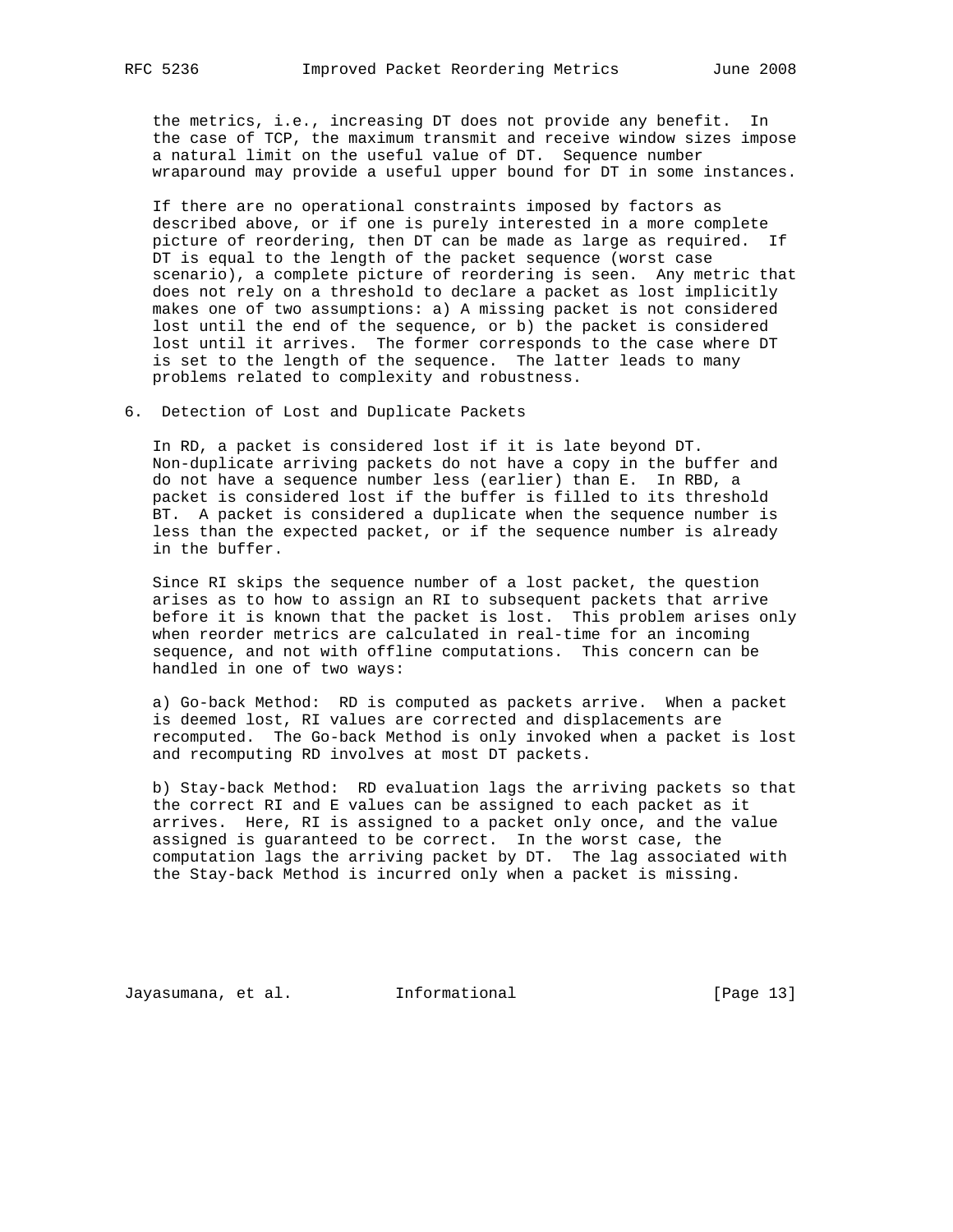the metrics, i.e., increasing DT does not provide any benefit. In the case of TCP, the maximum transmit and receive window sizes impose a natural limit on the useful value of DT. Sequence number wraparound may provide a useful upper bound for DT in some instances.

 If there are no operational constraints imposed by factors as described above, or if one is purely interested in a more complete picture of reordering, then DT can be made as large as required. If DT is equal to the length of the packet sequence (worst case scenario), a complete picture of reordering is seen. Any metric that does not rely on a threshold to declare a packet as lost implicitly makes one of two assumptions: a) A missing packet is not considered lost until the end of the sequence, or b) the packet is considered lost until it arrives. The former corresponds to the case where DT is set to the length of the sequence. The latter leads to many problems related to complexity and robustness.

6. Detection of Lost and Duplicate Packets

 In RD, a packet is considered lost if it is late beyond DT. Non-duplicate arriving packets do not have a copy in the buffer and do not have a sequence number less (earlier) than E. In RBD, a packet is considered lost if the buffer is filled to its threshold BT. A packet is considered a duplicate when the sequence number is less than the expected packet, or if the sequence number is already in the buffer.

 Since RI skips the sequence number of a lost packet, the question arises as to how to assign an RI to subsequent packets that arrive before it is known that the packet is lost. This problem arises only when reorder metrics are calculated in real-time for an incoming sequence, and not with offline computations. This concern can be handled in one of two ways:

 a) Go-back Method: RD is computed as packets arrive. When a packet is deemed lost, RI values are corrected and displacements are recomputed. The Go-back Method is only invoked when a packet is lost and recomputing RD involves at most DT packets.

 b) Stay-back Method: RD evaluation lags the arriving packets so that the correct RI and E values can be assigned to each packet as it arrives. Here, RI is assigned to a packet only once, and the value assigned is guaranteed to be correct. In the worst case, the computation lags the arriving packet by DT. The lag associated with the Stay-back Method is incurred only when a packet is missing.

Jayasumana, et al. Informational [Page 13]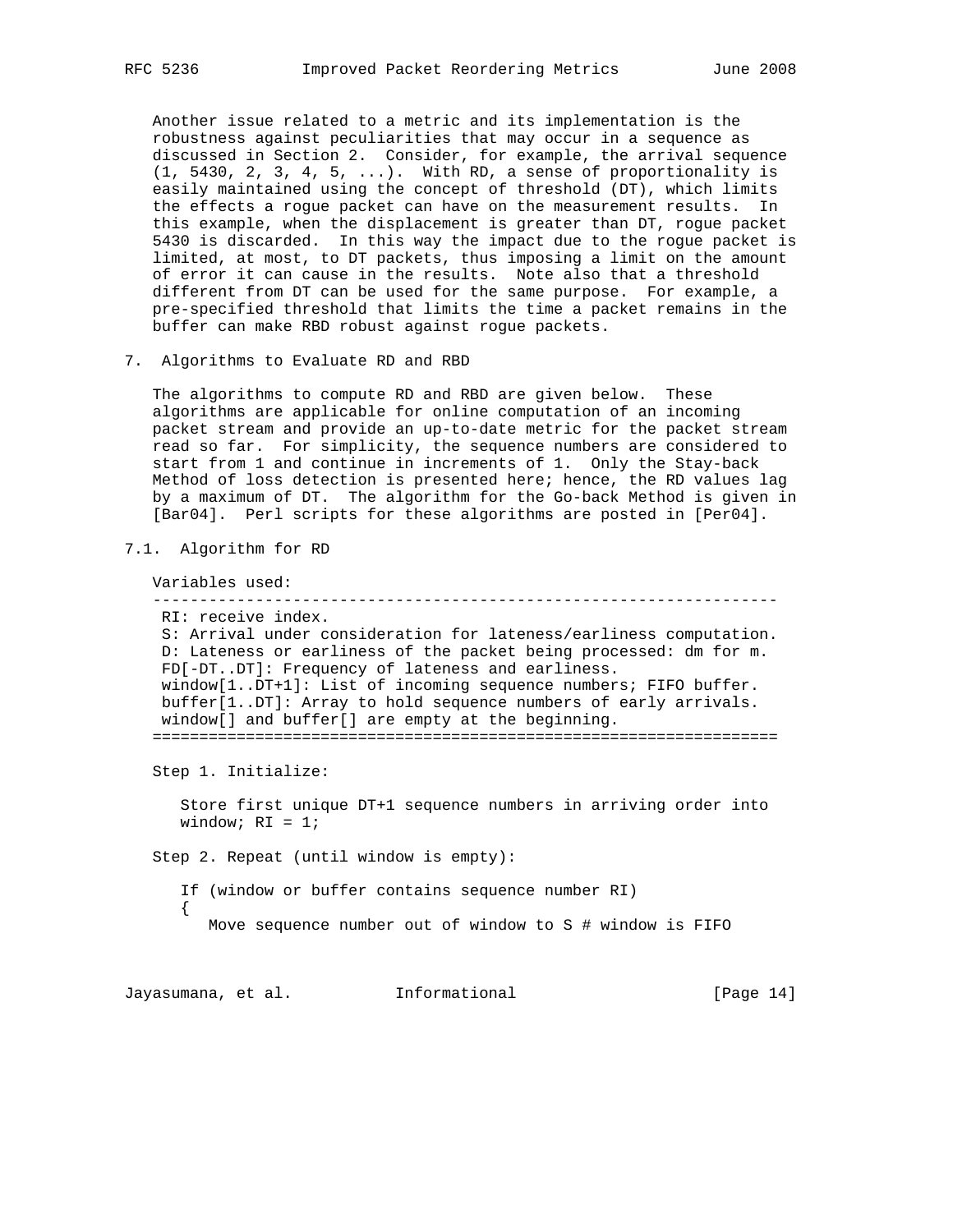Another issue related to a metric and its implementation is the robustness against peculiarities that may occur in a sequence as discussed in Section 2. Consider, for example, the arrival sequence (1, 5430, 2, 3, 4, 5, ...). With RD, a sense of proportionality is easily maintained using the concept of threshold (DT), which limits the effects a rogue packet can have on the measurement results. In this example, when the displacement is greater than DT, rogue packet 5430 is discarded. In this way the impact due to the rogue packet is limited, at most, to DT packets, thus imposing a limit on the amount of error it can cause in the results. Note also that a threshold different from DT can be used for the same purpose. For example, a pre-specified threshold that limits the time a packet remains in the buffer can make RBD robust against rogue packets.

7. Algorithms to Evaluate RD and RBD

 The algorithms to compute RD and RBD are given below. These algorithms are applicable for online computation of an incoming packet stream and provide an up-to-date metric for the packet stream read so far. For simplicity, the sequence numbers are considered to start from 1 and continue in increments of 1. Only the Stay-back Method of loss detection is presented here; hence, the RD values lag by a maximum of DT. The algorithm for the Go-back Method is given in [Bar04]. Perl scripts for these algorithms are posted in [Per04].

7.1. Algorithm for RD

 Variables used: ------------------------------------------------------------------- RI: receive index. S: Arrival under consideration for lateness/earliness computation. D: Lateness or earliness of the packet being processed: dm for m. FD[-DT..DT]: Frequency of lateness and earliness. window[1..DT+1]: List of incoming sequence numbers; FIFO buffer. buffer[1..DT]: Array to hold sequence numbers of early arrivals. window[] and buffer[] are empty at the beginning. =================================================================== Step 1. Initialize:

 Store first unique DT+1 sequence numbers in arriving order into window;  $RI = 1$ ;

Step 2. Repeat (until window is empty):

 If (window or buffer contains sequence number RI)  $\{$ Move sequence number out of window to S # window is FIFO

Jayasumana, et al. 1nformational 1999 [Page 14]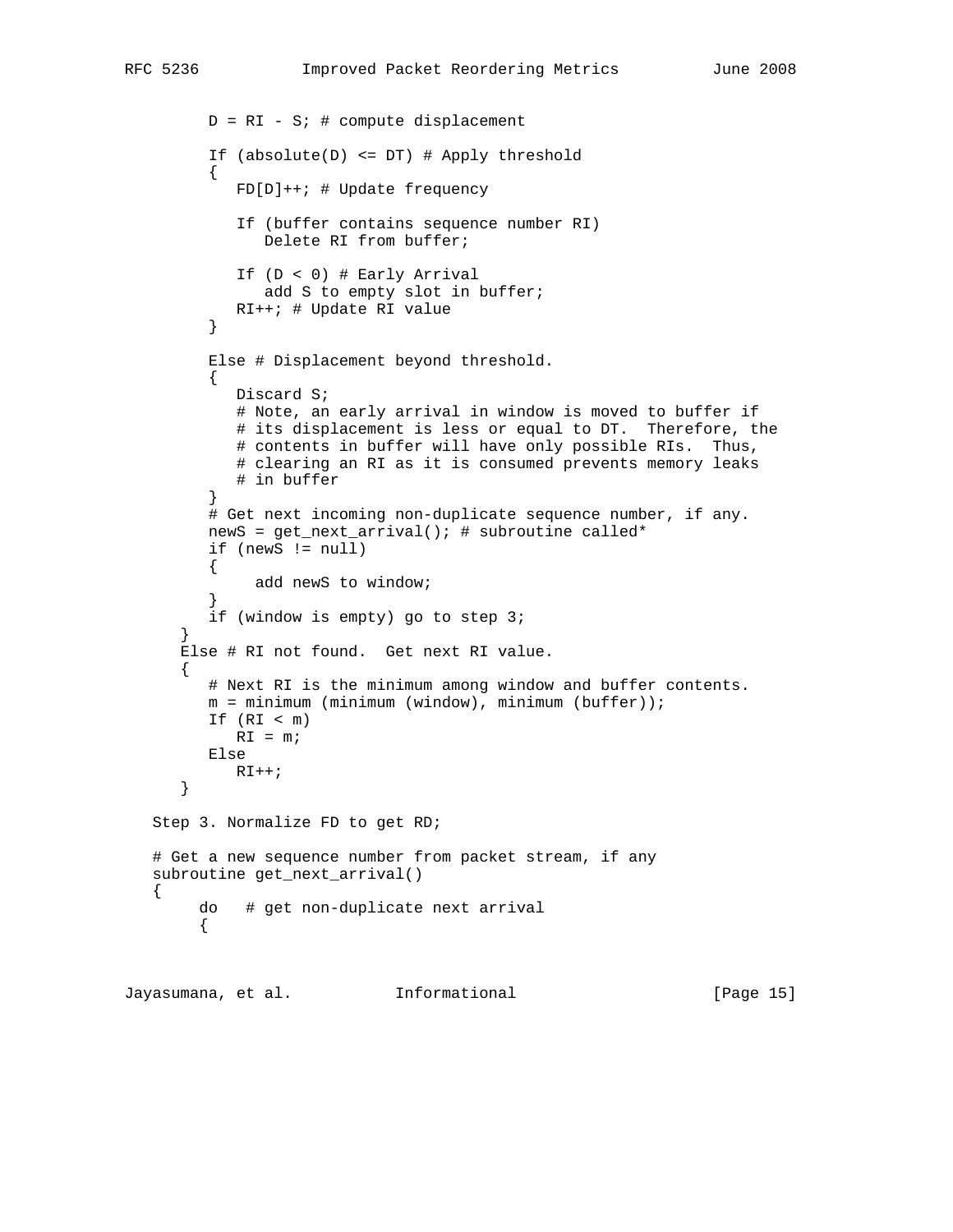```
D = RI - Si # compute displacement
         If (absolute(D) <= DT) # Apply threshold
\{ FD[D]++; # Update frequency
            If (buffer contains sequence number RI)
               Delete RI from buffer;
            If (D < 0) # Early Arrival
              add S to empty slot in buffer;
        RI++; # Update RI value }
 }
         Else # Displacement beyond threshold.
\{ Discard S;
            # Note, an early arrival in window is moved to buffer if
           # its displacement is less or equal to DT. Therefore, the
            # contents in buffer will have only possible RIs. Thus,
            # clearing an RI as it is consumed prevents memory leaks
            # in buffer
 }
         # Get next incoming non-duplicate sequence number, if any.
         newS = get_next_arrival(); # subroutine called*
         if (newS != null)
\{ add newS to window;
 }
         if (window is empty) go to step 3;
 }
      Else # RI not found. Get next RI value.
      {
         # Next RI is the minimum among window and buffer contents.
         m = minimum (minimum (window), minimum (buffer));
         If (RI < m)
           RI = m; Else
           RI++; }
   Step 3. Normalize FD to get RD;
   # Get a new sequence number from packet stream, if any
   subroutine get_next_arrival()
        do # get non-duplicate next arrival
        {
```
Jayasumana, et al. Informational [Page 15]

{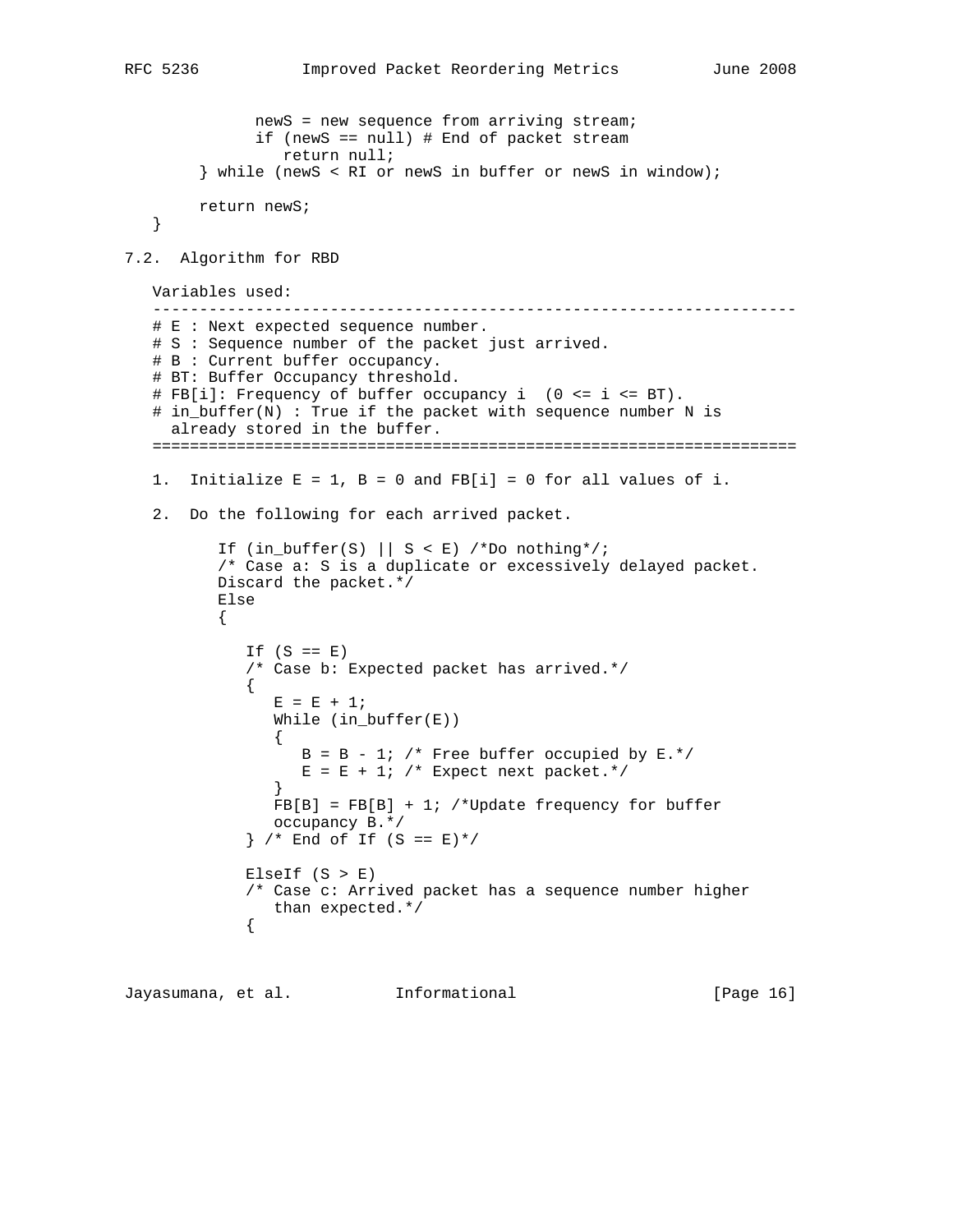```
 newS = new sequence from arriving stream;
              if (newS == null) # End of packet stream
                 return null;
         } while (newS < RI or newS in buffer or newS in window);
        return newS;
   }
7.2. Algorithm for RBD
   Variables used:
    ---------------------------------------------------------------------
   # E : Next expected sequence number.
   # S : Sequence number of the packet just arrived.
   # B : Current buffer occupancy.
   # BT: Buffer Occupancy threshold.
   # FB[i]: Frequency of buffer occupancy i (0 <= i <= BT).
   # in_buffer(N) : True if the packet with sequence number N is
     already stored in the buffer.
   =====================================================================
  1. Initialize E = 1, B = 0 and FB[i] = 0 for all values of i.
   2. Do the following for each arrived packet.
         If (in\_buffer(S) || S < E) /*Do nothing*/;
          /* Case a: S is a duplicate or excessively delayed packet.
          Discard the packet.*/
          Else
          {
            If (S == E) /* Case b: Expected packet has arrived.*/
\{E = E + 1; While (in_buffer(E))
 {
                  B = B - 1; /* Free buffer occupied by E.*/
                  E = E + 1; /* Expect next packet.*/
 }
               FB[B] = FB[B] + 1; /*Update frequency for buffer
                occupancy B.*/
            } / * End of If (S == E)*/ElseIf (S > E) /* Case c: Arrived packet has a sequence number higher
            than expected.*/
\{
```
Jayasumana, et al. Informational [Page 16]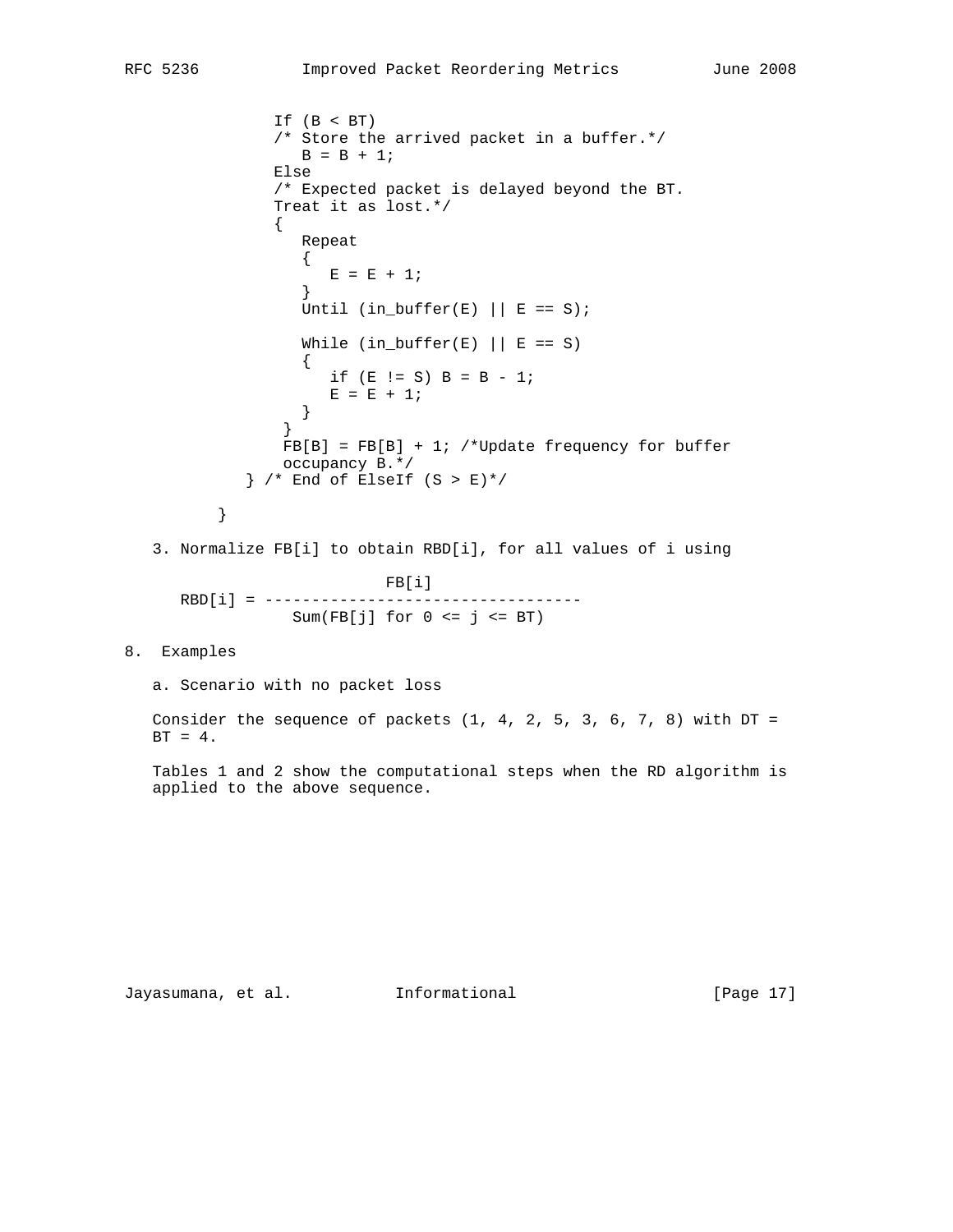```
 If (B < BT)
              /* Store the arrived packet in a buffer.*/
                B = B + 1; Else
              /* Expected packet is delayed beyond the BT.
              Treat it as lost.*/
 {
                 Repeat
{
                  E = E + 1; }
                Until (in_buffer(E) ||E == S);
                While (in\_buffer(E) || E == S){
                  if (E \mid S) B = B - 1;
                E = E + 1; }
 }
              FB[B] = FB[B] + 1; /*Update frequency for buffer
               occupancy B.*/
           } /* End of ElseIf (S > E)*/
 }
   3. Normalize FB[i] to obtain RBD[i], for all values of i using
                      FB[i]
      RBD[i] = ----------------------------------
               Sum(FB[j] for 0 \le j \le BT)8. Examples
   a. Scenario with no packet loss
  Consider the sequence of packets (1, 4, 2, 5, 3, 6, 7, 8) with DT =
  BT = 4.
```
 Tables 1 and 2 show the computational steps when the RD algorithm is applied to the above sequence.

Jayasumana, et al. Informational [Page 17]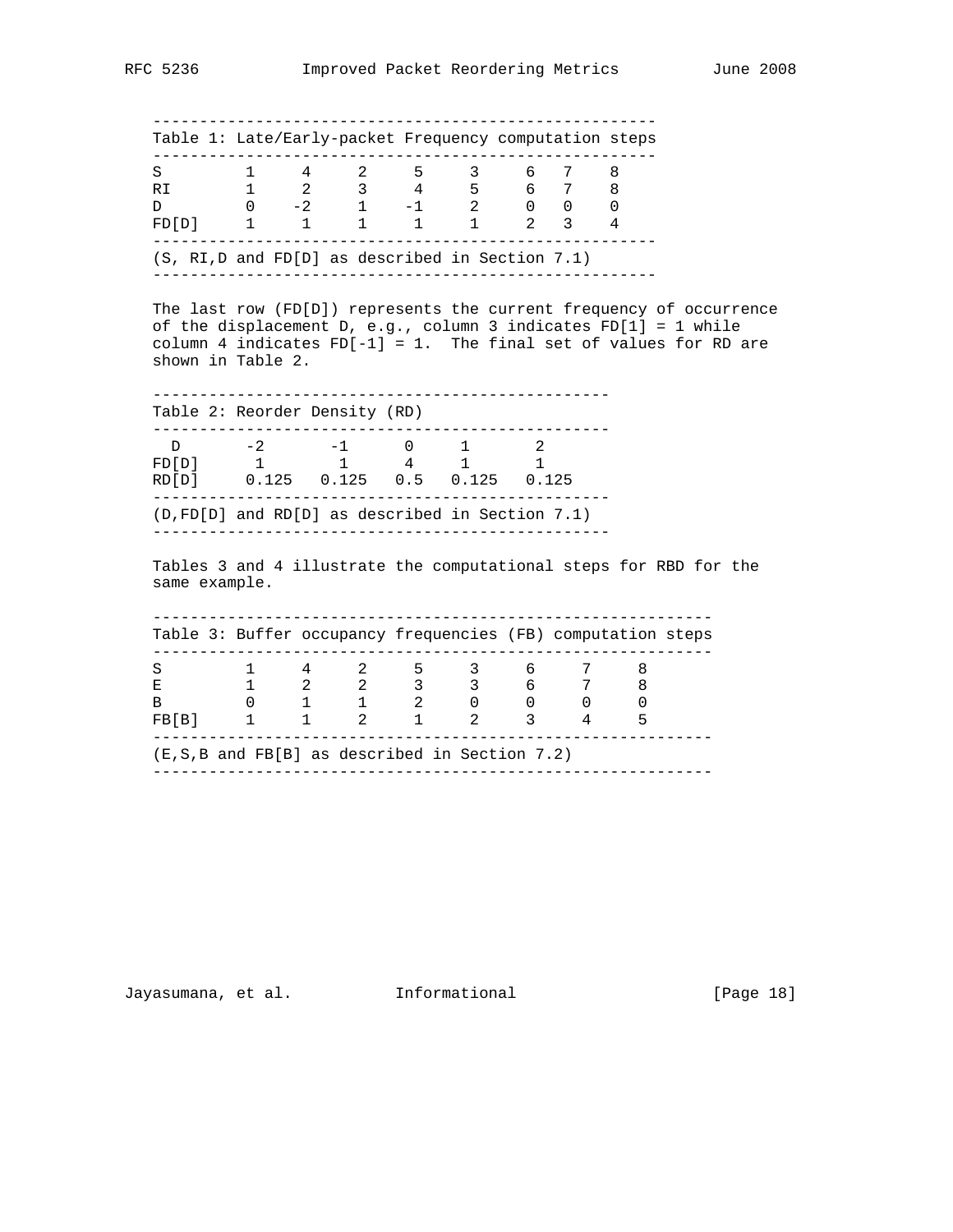|                                                                                                                                                                                                                                                                                                                    |  |  | Table 1: Late/Early-packet Frequency computation steps |  |  |  |
|--------------------------------------------------------------------------------------------------------------------------------------------------------------------------------------------------------------------------------------------------------------------------------------------------------------------|--|--|--------------------------------------------------------|--|--|--|
| $\begin{array}{cccccccccccc} \text{S} & & 1 & & 4 & & 2 & & 5 & & 3 & & 6 & & 7 & & 8 \\ \text{R} \text{I} & & & 1 & & 2 & & 3 & & 4 & & 5 & & 6 & & 7 & & 8 \\ \text{D} & & & 0 & & -2 & & 1 & & -1 & & 2 & & 0 & & 0 & & 0 \\ \text{F D} \text{[D]} & & 1 & & 1 & & 1 & & 1 & & 1 & & 2 & & 3 & & 4 \end{array}$ |  |  |                                                        |  |  |  |
|                                                                                                                                                                                                                                                                                                                    |  |  |                                                        |  |  |  |
| $(S, RI, D, and FD[D]$ as described in Section 7.1)                                                                                                                                                                                                                                                                |  |  |                                                        |  |  |  |
| of the displacement D, e.g., column 3 indicates FD[1] = 1 while<br>column 4 indicates $FD[-1] = 1$ . The final set of values for RD are<br>shown in Table 2.                                                                                                                                                       |  |  |                                                        |  |  |  |
| Table 2: Reorder Density (RD)                                                                                                                                                                                                                                                                                      |  |  |                                                        |  |  |  |
| D -2 -1 0 1 2<br>FD[D] 1 1 4 1 1                                                                                                                                                                                                                                                                                   |  |  |                                                        |  |  |  |
| RD[D] 0.125 0.125 0.5 0.125 0.125                                                                                                                                                                                                                                                                                  |  |  |                                                        |  |  |  |
| $(D, FD[D]$ and RD $[D]$ as described in Section 7.1)                                                                                                                                                                                                                                                              |  |  |                                                        |  |  |  |
| Tables 3 and 4 illustrate the computational steps for RBD for the<br>same example.                                                                                                                                                                                                                                 |  |  |                                                        |  |  |  |
| Table 3: Buffer occupancy frequencies (FB) computation steps                                                                                                                                                                                                                                                       |  |  |                                                        |  |  |  |
|                                                                                                                                                                                                                                                                                                                    |  |  |                                                        |  |  |  |

 (E,S,B and FB[B] as described in Section 7.2) ------------------------------------------------------------

Jayasumana, et al. Informational [Page 18]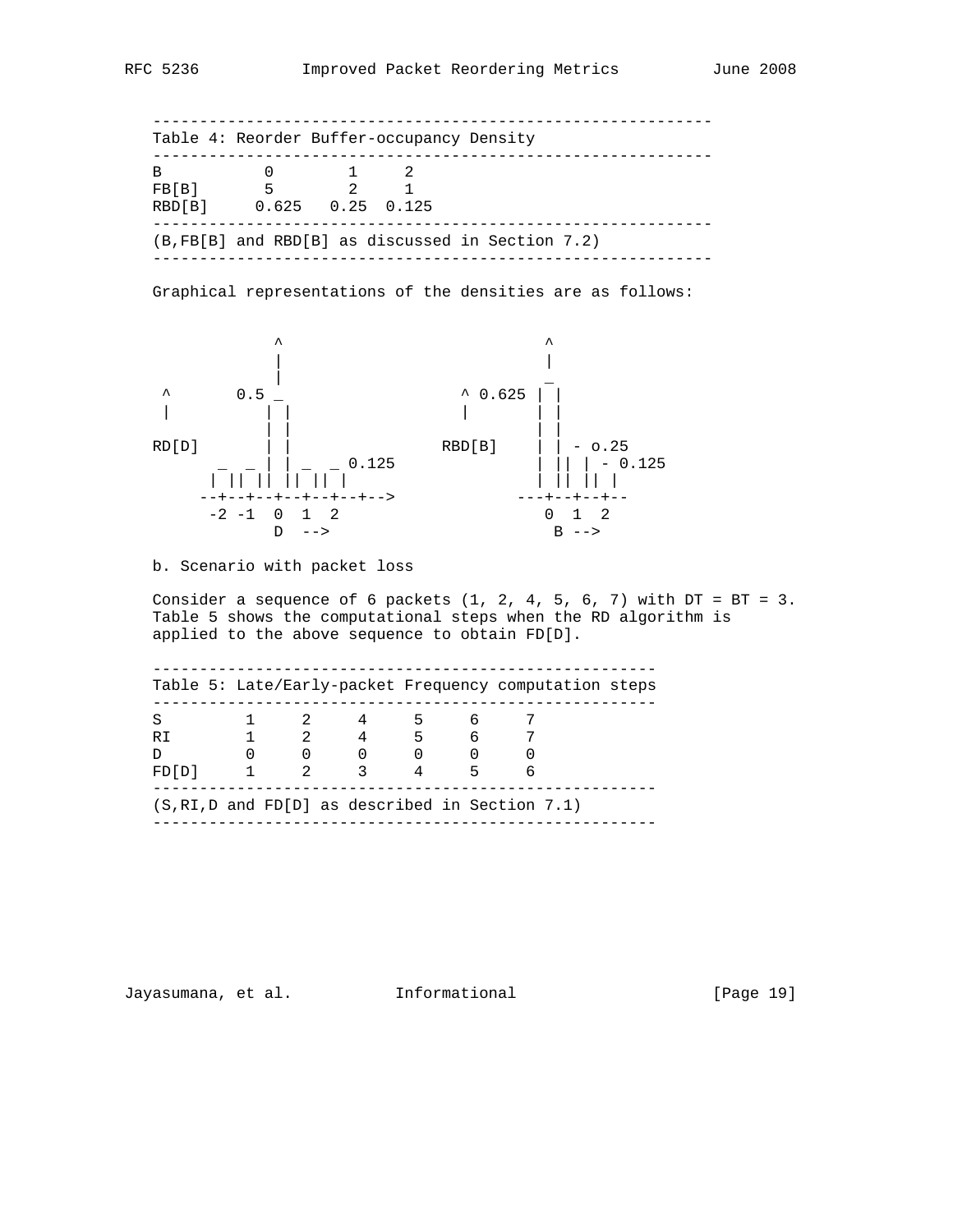------------------------------------------------------------ Table 4: Reorder Buffer-occupancy Density ------------------------------------------------------------ B 0 1 2 FB[B] 5 2 1 RBD[B] 0.625 0.25 0.125 ------------------------------------------------------------ (B,FB[B] and RBD[B] as discussed in Section 7.2) ------------------------------------------------------------

Graphical representations of the densities are as follows:



### b. Scenario with packet loss

Consider a sequence of 6 packets  $(1, 2, 4, 5, 6, 7)$  with  $DT = BT = 3$ . Table 5 shows the computational steps when the RD algorithm is applied to the above sequence to obtain FD[D].

| S     |             | 4                                           | 5 | 6. |  |  |
|-------|-------------|---------------------------------------------|---|----|--|--|
| R T   |             | 2 4 5 6                                     |   |    |  |  |
| D     |             | $\begin{matrix} 0 & 0 & 0 & 0 \end{matrix}$ |   |    |  |  |
| FD[D] | $2^{\circ}$ | $\mathcal{R}$                               |   | 5  |  |  |

Jayasumana, et al. Informational [Page 19]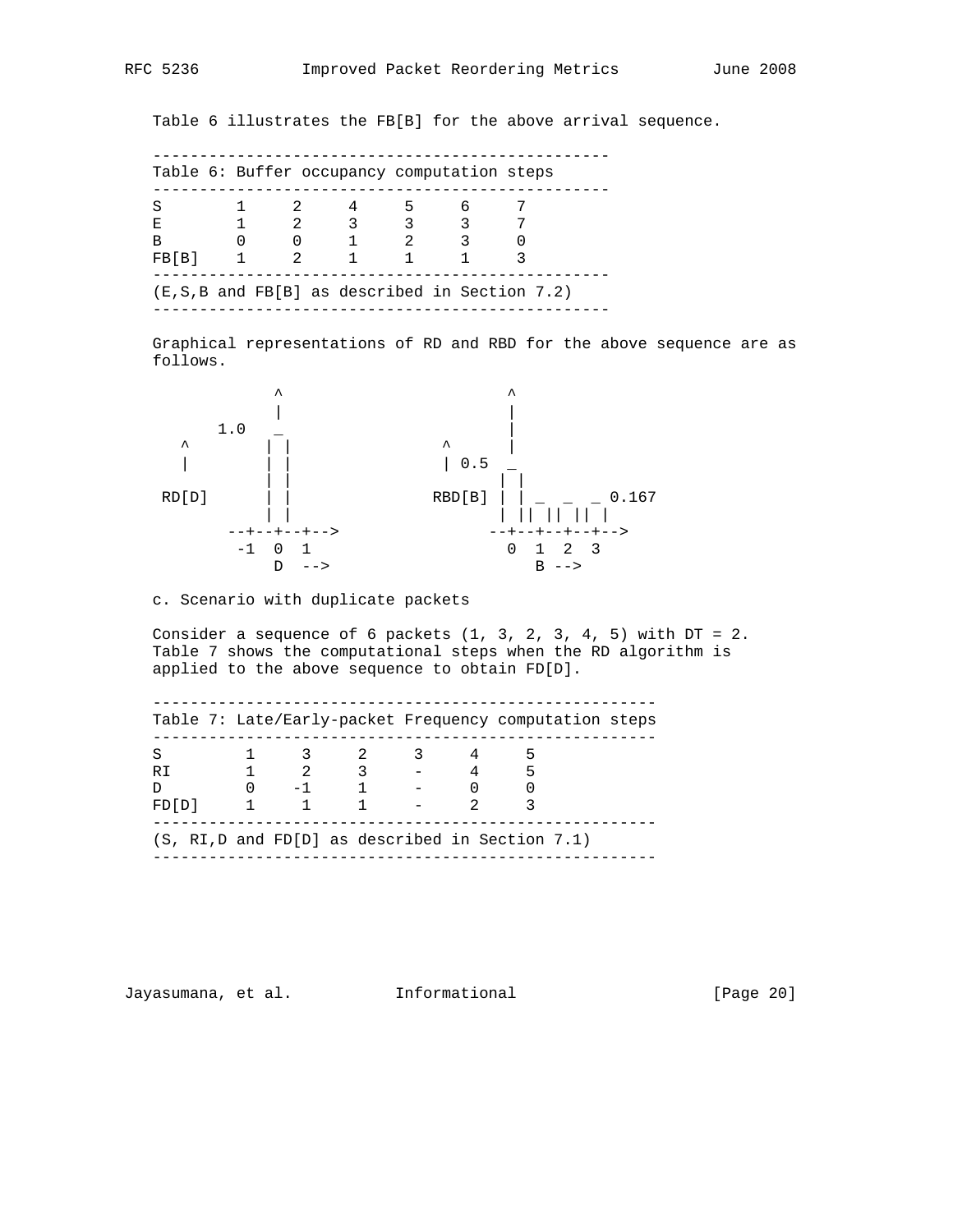Table 6 illustrates the FB[B] for the above arrival sequence.

| S     |   |               |       | 5           | 6                       |  |
|-------|---|---------------|-------|-------------|-------------------------|--|
| F.    |   |               | 2 3 3 |             | $\overline{\mathbf{3}}$ |  |
| в     |   |               |       | $2^{\circ}$ |                         |  |
| FB[B] | 1 | $\mathcal{L}$ |       |             |                         |  |

 Graphical representations of RD and RBD for the above sequence are as follows.



## c. Scenario with duplicate packets

Consider a sequence of 6 packets  $(1, 3, 2, 3, 4, 5)$  with  $DT = 2$ . Table 7 shows the computational steps when the RD algorithm is applied to the above sequence to obtain FD[D].

| S     |   |                                            | 2 3                             |       |  |  |
|-------|---|--------------------------------------------|---------------------------------|-------|--|--|
| RT.   |   | $\begin{array}{ccc} 1 & 2 & 3 \end{array}$ |                                 | $-45$ |  |  |
| D.    |   |                                            | $0 \qquad -1 \qquad 1 \qquad -$ |       |  |  |
| FD[D] | 1 |                                            |                                 |       |  |  |

Jayasumana, et al. Informational [Page 20]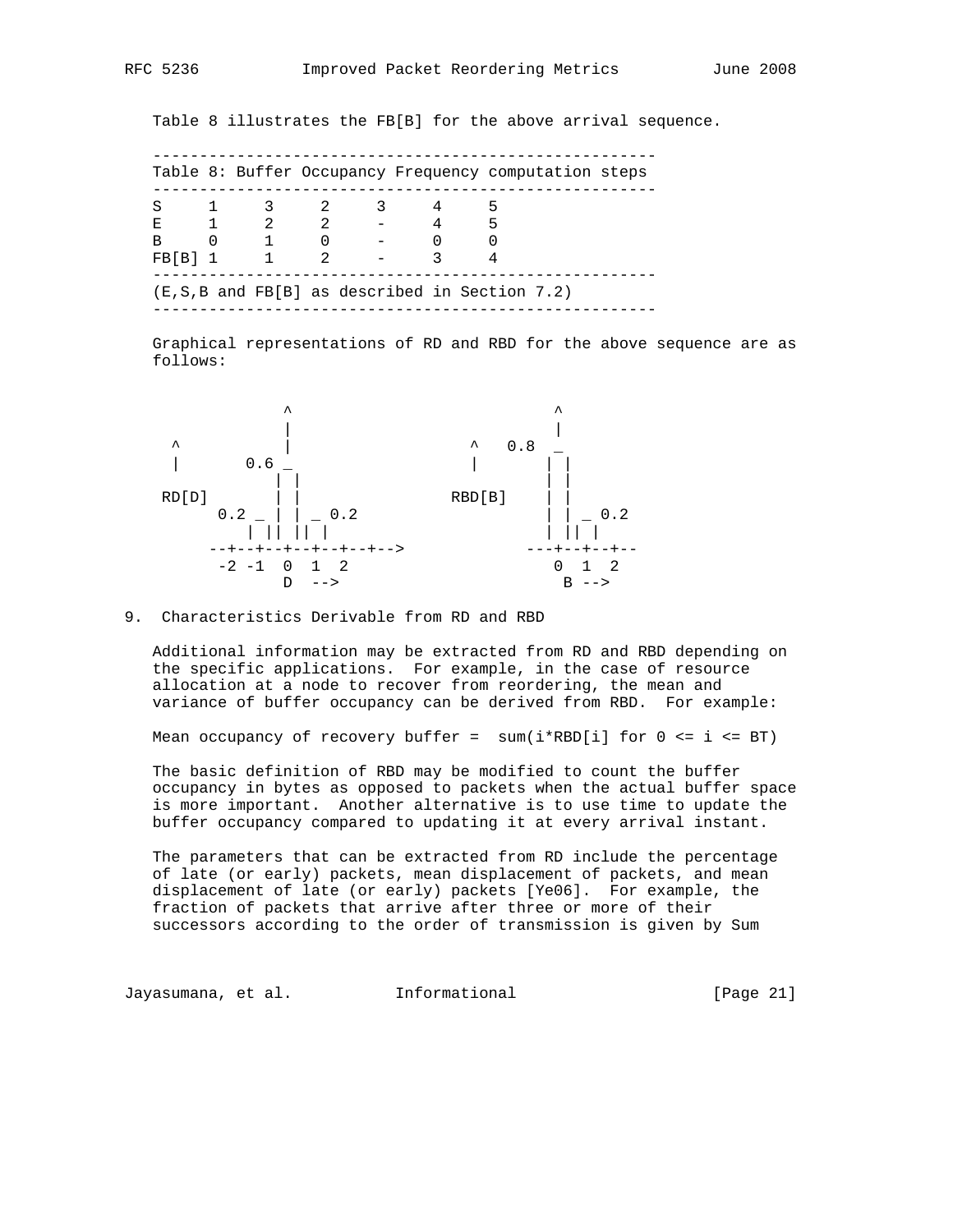Table 8 illustrates the FB[B] for the above arrival sequence.

| S            |          | 1 3 2         |             | 3. |             |  |
|--------------|----------|---------------|-------------|----|-------------|--|
| E.           |          | 1 2 2         |             |    | $5^{\circ}$ |  |
| <sub>R</sub> | $\Omega$ | $\sim$ 1      |             |    |             |  |
| FBIB1        |          | $\frac{1}{2}$ | $2^{\circ}$ |    |             |  |

 Graphical representations of RD and RBD for the above sequence are as follows:



### 9. Characteristics Derivable from RD and RBD

 Additional information may be extracted from RD and RBD depending on the specific applications. For example, in the case of resource allocation at a node to recover from reordering, the mean and variance of buffer occupancy can be derived from RBD. For example:

Mean occupancy of recovery buffer =  $sum(i*RBD[i])$  for  $0 \le i \le BT)$ 

 The basic definition of RBD may be modified to count the buffer occupancy in bytes as opposed to packets when the actual buffer space is more important. Another alternative is to use time to update the buffer occupancy compared to updating it at every arrival instant.

 The parameters that can be extracted from RD include the percentage of late (or early) packets, mean displacement of packets, and mean displacement of late (or early) packets [Ye06]. For example, the fraction of packets that arrive after three or more of their successors according to the order of transmission is given by Sum

Jayasumana, et al. Informational [Page 21]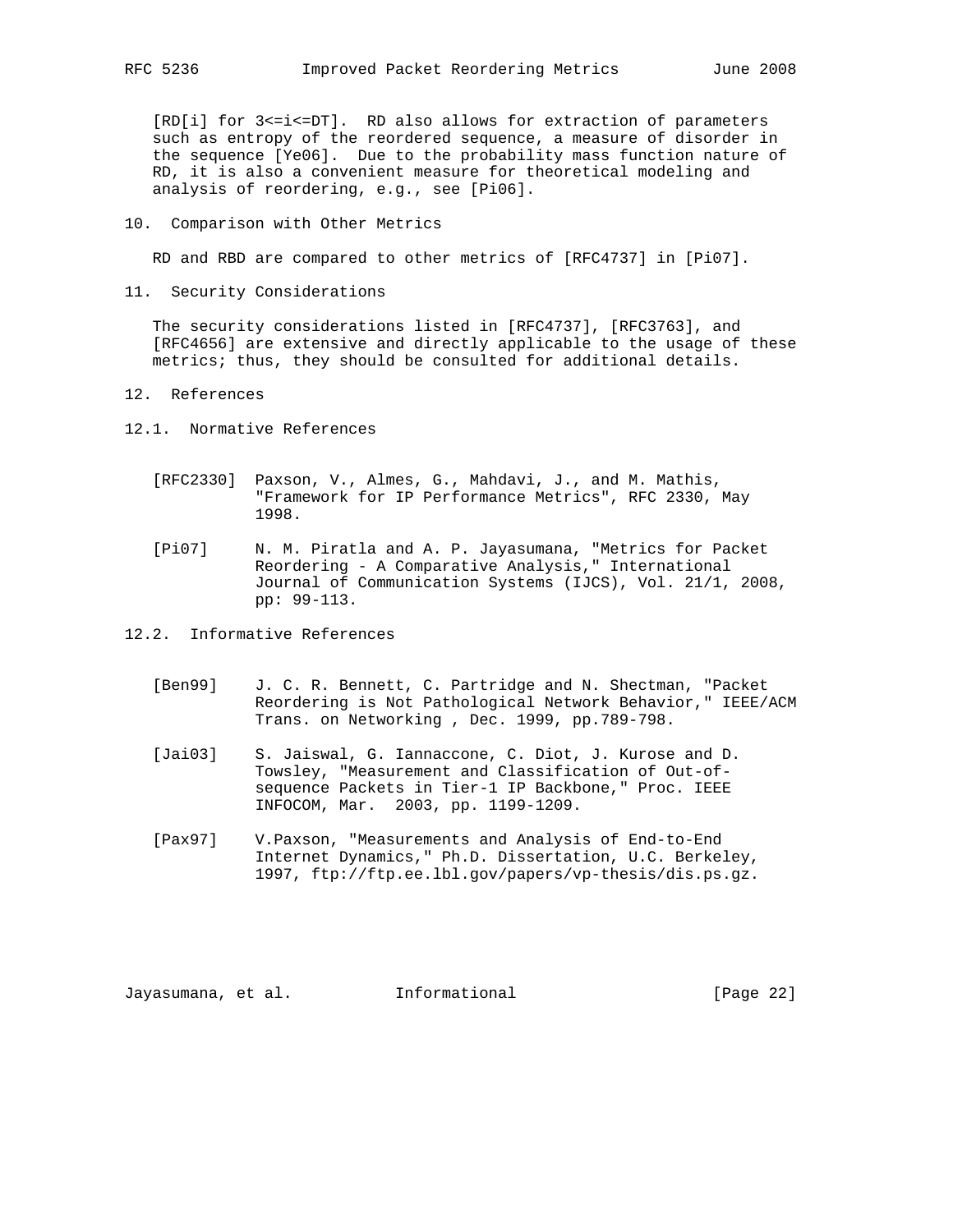[RD[i] for 3<=i<=DT]. RD also allows for extraction of parameters such as entropy of the reordered sequence, a measure of disorder in the sequence [Ye06]. Due to the probability mass function nature of RD, it is also a convenient measure for theoretical modeling and analysis of reordering, e.g., see [Pi06].

10. Comparison with Other Metrics

RD and RBD are compared to other metrics of [RFC4737] in [Pi07].

11. Security Considerations

 The security considerations listed in [RFC4737], [RFC3763], and [RFC4656] are extensive and directly applicable to the usage of these metrics; thus, they should be consulted for additional details.

- 12. References
- 12.1. Normative References
	- [RFC2330] Paxson, V., Almes, G., Mahdavi, J., and M. Mathis, "Framework for IP Performance Metrics", RFC 2330, May 1998.
	- [Pi07] N. M. Piratla and A. P. Jayasumana, "Metrics for Packet Reordering - A Comparative Analysis," International Journal of Communication Systems (IJCS), Vol. 21/1, 2008, pp: 99-113.
- 12.2. Informative References
	- [Ben99] J. C. R. Bennett, C. Partridge and N. Shectman, "Packet Reordering is Not Pathological Network Behavior," IEEE/ACM Trans. on Networking , Dec. 1999, pp.789-798.
	- [Jai03] S. Jaiswal, G. Iannaccone, C. Diot, J. Kurose and D. Towsley, "Measurement and Classification of Out-of sequence Packets in Tier-1 IP Backbone," Proc. IEEE INFOCOM, Mar. 2003, pp. 1199-1209.
	- [Pax97] V.Paxson, "Measurements and Analysis of End-to-End Internet Dynamics," Ph.D. Dissertation, U.C. Berkeley, 1997, ftp://ftp.ee.lbl.gov/papers/vp-thesis/dis.ps.gz.

Jayasumana, et al. Informational [Page 22]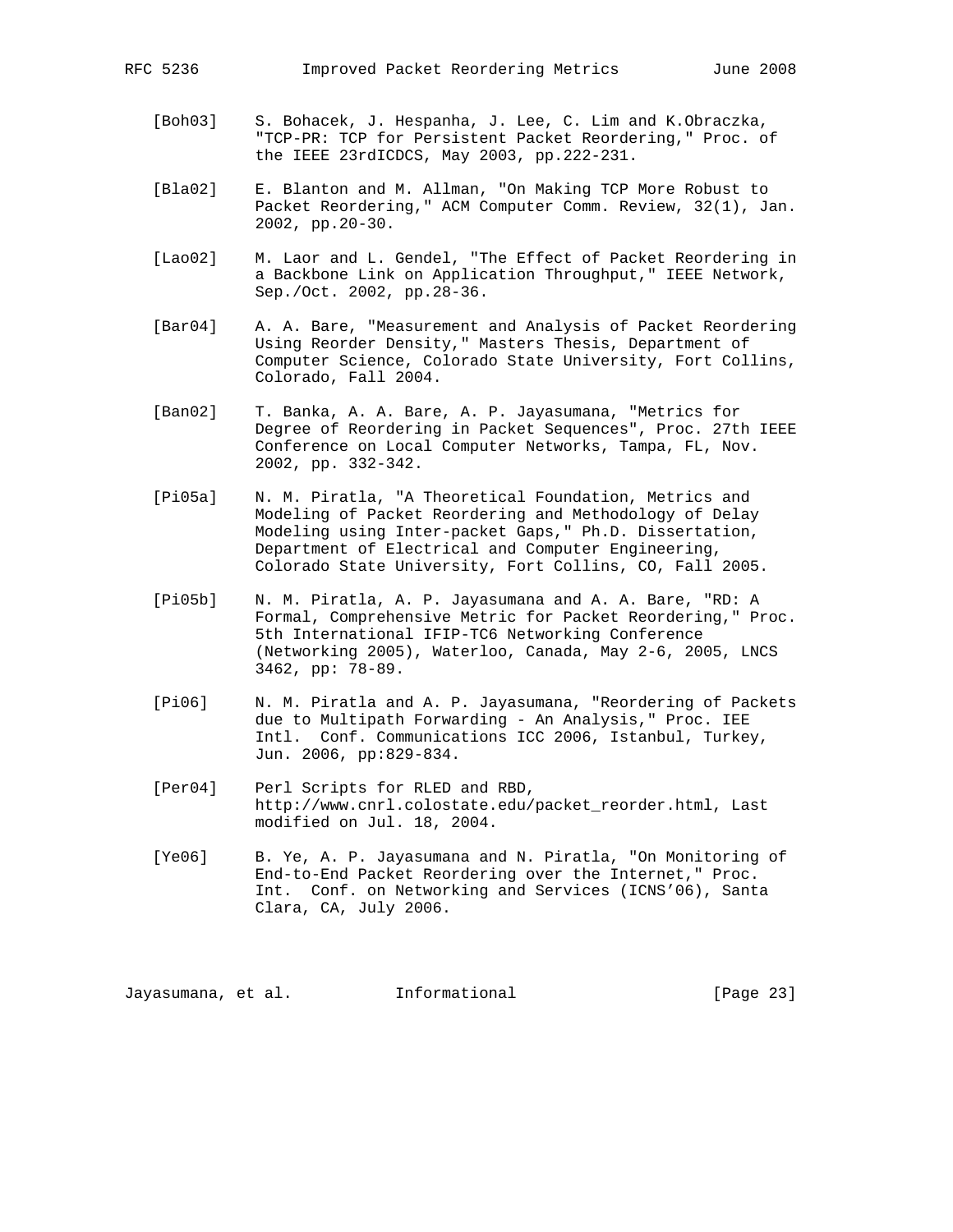- [Boh03] S. Bohacek, J. Hespanha, J. Lee, C. Lim and K.Obraczka, "TCP-PR: TCP for Persistent Packet Reordering," Proc. of the IEEE 23rdICDCS, May 2003, pp.222-231.
- [Bla02] E. Blanton and M. Allman, "On Making TCP More Robust to Packet Reordering," ACM Computer Comm. Review, 32(1), Jan. 2002, pp.20-30.
- [Lao02] M. Laor and L. Gendel, "The Effect of Packet Reordering in a Backbone Link on Application Throughput," IEEE Network, Sep./Oct. 2002, pp.28-36.
- [Bar04] A. A. Bare, "Measurement and Analysis of Packet Reordering Using Reorder Density," Masters Thesis, Department of Computer Science, Colorado State University, Fort Collins, Colorado, Fall 2004.
- [Ban02] T. Banka, A. A. Bare, A. P. Jayasumana, "Metrics for Degree of Reordering in Packet Sequences", Proc. 27th IEEE Conference on Local Computer Networks, Tampa, FL, Nov. 2002, pp. 332-342.
- [Pi05a] N. M. Piratla, "A Theoretical Foundation, Metrics and Modeling of Packet Reordering and Methodology of Delay Modeling using Inter-packet Gaps," Ph.D. Dissertation, Department of Electrical and Computer Engineering, Colorado State University, Fort Collins, CO, Fall 2005.
- [Pi05b] N. M. Piratla, A. P. Jayasumana and A. A. Bare, "RD: A Formal, Comprehensive Metric for Packet Reordering," Proc. 5th International IFIP-TC6 Networking Conference (Networking 2005), Waterloo, Canada, May 2-6, 2005, LNCS 3462, pp: 78-89.
- [Pi06] N. M. Piratla and A. P. Jayasumana, "Reordering of Packets due to Multipath Forwarding - An Analysis," Proc. IEE Intl. Conf. Communications ICC 2006, Istanbul, Turkey, Jun. 2006, pp:829-834.
- [Per04] Perl Scripts for RLED and RBD, http://www.cnrl.colostate.edu/packet\_reorder.html, Last modified on Jul. 18, 2004.
- [Ye06] B. Ye, A. P. Jayasumana and N. Piratla, "On Monitoring of End-to-End Packet Reordering over the Internet," Proc. Int. Conf. on Networking and Services (ICNS'06), Santa Clara, CA, July 2006.

Jayasumana, et al. Informational [Page 23]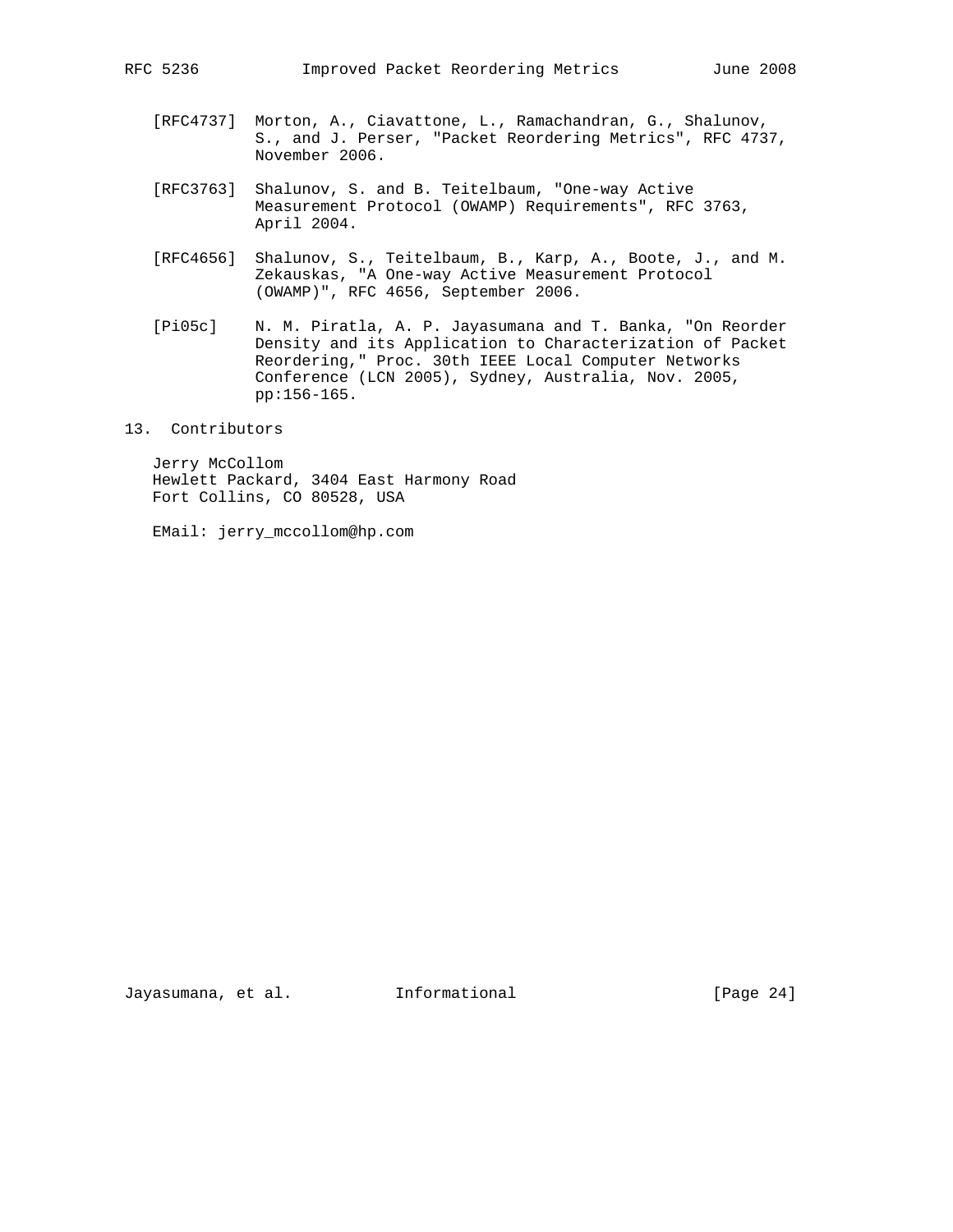- [RFC4737] Morton, A., Ciavattone, L., Ramachandran, G., Shalunov, S., and J. Perser, "Packet Reordering Metrics", RFC 4737, November 2006.
- [RFC3763] Shalunov, S. and B. Teitelbaum, "One-way Active Measurement Protocol (OWAMP) Requirements", RFC 3763, April 2004.
- [RFC4656] Shalunov, S., Teitelbaum, B., Karp, A., Boote, J., and M. Zekauskas, "A One-way Active Measurement Protocol (OWAMP)", RFC 4656, September 2006.
- [Pi05c] N. M. Piratla, A. P. Jayasumana and T. Banka, "On Reorder Density and its Application to Characterization of Packet Reordering," Proc. 30th IEEE Local Computer Networks Conference (LCN 2005), Sydney, Australia, Nov. 2005, pp:156-165.

### 13. Contributors

 Jerry McCollom Hewlett Packard, 3404 East Harmony Road Fort Collins, CO 80528, USA

EMail: jerry\_mccollom@hp.com

Jayasumana, et al. Informational [Page 24]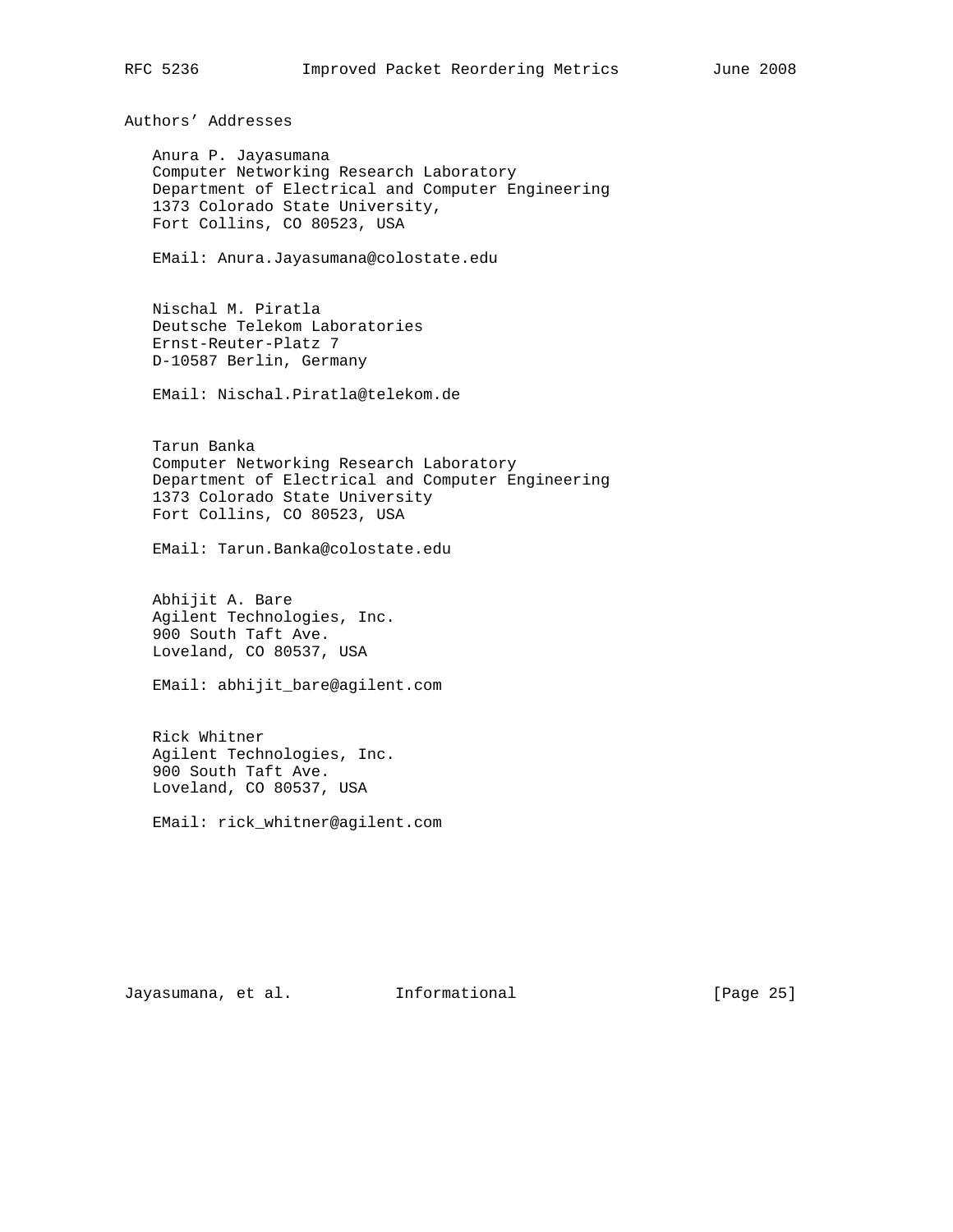Authors' Addresses

 Anura P. Jayasumana Computer Networking Research Laboratory Department of Electrical and Computer Engineering 1373 Colorado State University, Fort Collins, CO 80523, USA

EMail: Anura.Jayasumana@colostate.edu

 Nischal M. Piratla Deutsche Telekom Laboratories Ernst-Reuter-Platz 7 D-10587 Berlin, Germany

EMail: Nischal.Piratla@telekom.de

 Tarun Banka Computer Networking Research Laboratory Department of Electrical and Computer Engineering 1373 Colorado State University Fort Collins, CO 80523, USA

EMail: Tarun.Banka@colostate.edu

 Abhijit A. Bare Agilent Technologies, Inc. 900 South Taft Ave. Loveland, CO 80537, USA

EMail: abhijit\_bare@agilent.com

 Rick Whitner Agilent Technologies, Inc. 900 South Taft Ave. Loveland, CO 80537, USA

EMail: rick\_whitner@agilent.com

Jayasumana, et al. Informational [Page 25]